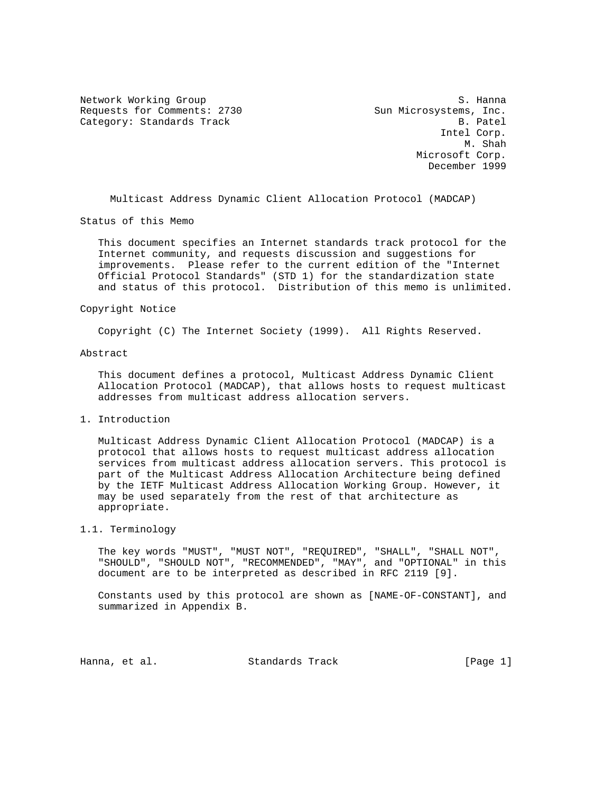Network Working Group S. Hanna Requests for Comments: 2730 Sun Microsystems, Inc. Category: Standards Track B. Patel

 Intel Corp. M. Shah Microsoft Corp. December 1999

Multicast Address Dynamic Client Allocation Protocol (MADCAP)

Status of this Memo

 This document specifies an Internet standards track protocol for the Internet community, and requests discussion and suggestions for improvements. Please refer to the current edition of the "Internet Official Protocol Standards" (STD 1) for the standardization state and status of this protocol. Distribution of this memo is unlimited.

### Copyright Notice

Copyright (C) The Internet Society (1999). All Rights Reserved.

### Abstract

 This document defines a protocol, Multicast Address Dynamic Client Allocation Protocol (MADCAP), that allows hosts to request multicast addresses from multicast address allocation servers.

1. Introduction

 Multicast Address Dynamic Client Allocation Protocol (MADCAP) is a protocol that allows hosts to request multicast address allocation services from multicast address allocation servers. This protocol is part of the Multicast Address Allocation Architecture being defined by the IETF Multicast Address Allocation Working Group. However, it may be used separately from the rest of that architecture as appropriate.

## 1.1. Terminology

 The key words "MUST", "MUST NOT", "REQUIRED", "SHALL", "SHALL NOT", "SHOULD", "SHOULD NOT", "RECOMMENDED", "MAY", and "OPTIONAL" in this document are to be interpreted as described in RFC 2119 [9].

 Constants used by this protocol are shown as [NAME-OF-CONSTANT], and summarized in Appendix B.

Hanna, et al. Standards Track [Page 1]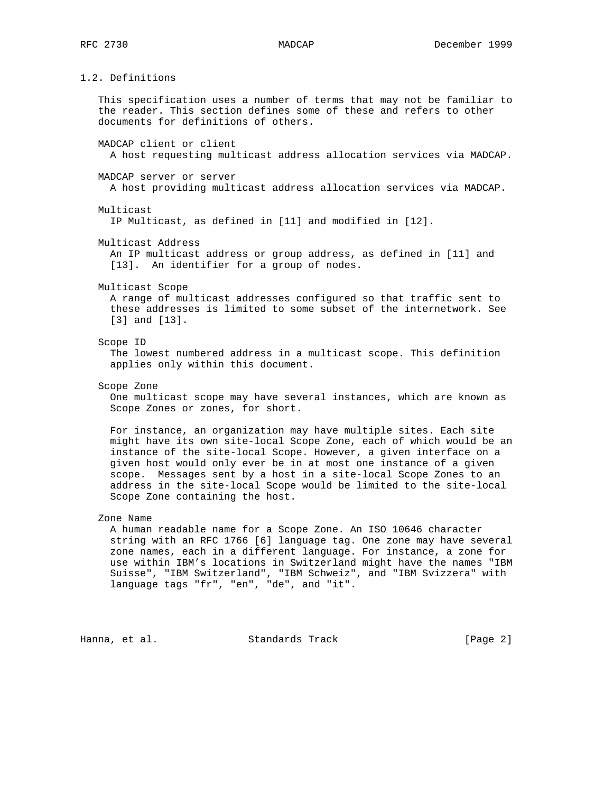1.2. Definitions

 This specification uses a number of terms that may not be familiar to the reader. This section defines some of these and refers to other documents for definitions of others.

MADCAP client or client

A host requesting multicast address allocation services via MADCAP.

MADCAP server or server

A host providing multicast address allocation services via MADCAP.

Multicast

IP Multicast, as defined in [11] and modified in [12].

Multicast Address

 An IP multicast address or group address, as defined in [11] and [13]. An identifier for a group of nodes.

Multicast Scope

 A range of multicast addresses configured so that traffic sent to these addresses is limited to some subset of the internetwork. See [3] and [13].

### Scope ID

 The lowest numbered address in a multicast scope. This definition applies only within this document.

Scope Zone

 One multicast scope may have several instances, which are known as Scope Zones or zones, for short.

 For instance, an organization may have multiple sites. Each site might have its own site-local Scope Zone, each of which would be an instance of the site-local Scope. However, a given interface on a given host would only ever be in at most one instance of a given scope. Messages sent by a host in a site-local Scope Zones to an address in the site-local Scope would be limited to the site-local Scope Zone containing the host.

## Zone Name

 A human readable name for a Scope Zone. An ISO 10646 character string with an RFC 1766 [6] language tag. One zone may have several zone names, each in a different language. For instance, a zone for use within IBM's locations in Switzerland might have the names "IBM Suisse", "IBM Switzerland", "IBM Schweiz", and "IBM Svizzera" with language tags "fr", "en", "de", and "it".

Hanna, et al. Standards Track [Page 2]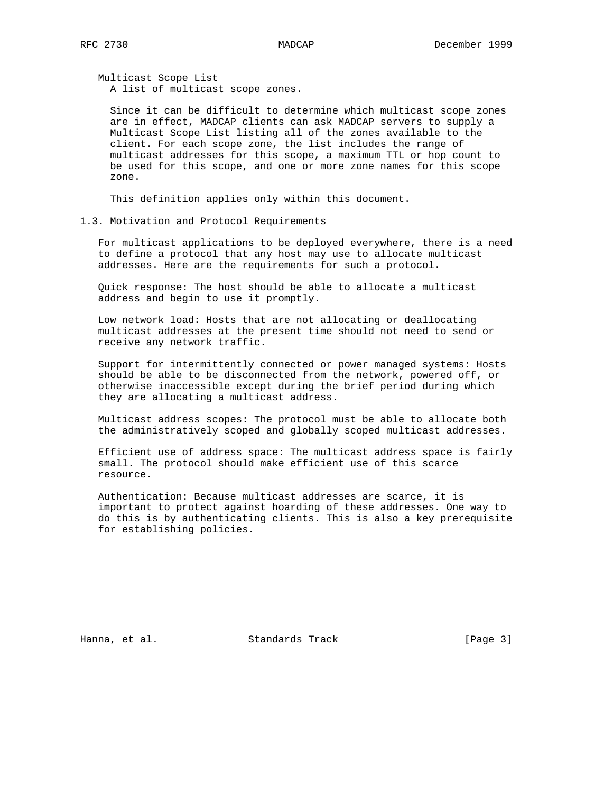Multicast Scope List A list of multicast scope zones.

 Since it can be difficult to determine which multicast scope zones are in effect, MADCAP clients can ask MADCAP servers to supply a Multicast Scope List listing all of the zones available to the client. For each scope zone, the list includes the range of multicast addresses for this scope, a maximum TTL or hop count to be used for this scope, and one or more zone names for this scope zone.

This definition applies only within this document.

### 1.3. Motivation and Protocol Requirements

 For multicast applications to be deployed everywhere, there is a need to define a protocol that any host may use to allocate multicast addresses. Here are the requirements for such a protocol.

 Quick response: The host should be able to allocate a multicast address and begin to use it promptly.

 Low network load: Hosts that are not allocating or deallocating multicast addresses at the present time should not need to send or receive any network traffic.

 Support for intermittently connected or power managed systems: Hosts should be able to be disconnected from the network, powered off, or otherwise inaccessible except during the brief period during which they are allocating a multicast address.

 Multicast address scopes: The protocol must be able to allocate both the administratively scoped and globally scoped multicast addresses.

 Efficient use of address space: The multicast address space is fairly small. The protocol should make efficient use of this scarce resource.

 Authentication: Because multicast addresses are scarce, it is important to protect against hoarding of these addresses. One way to do this is by authenticating clients. This is also a key prerequisite for establishing policies.

Hanna, et al. Standards Track [Page 3]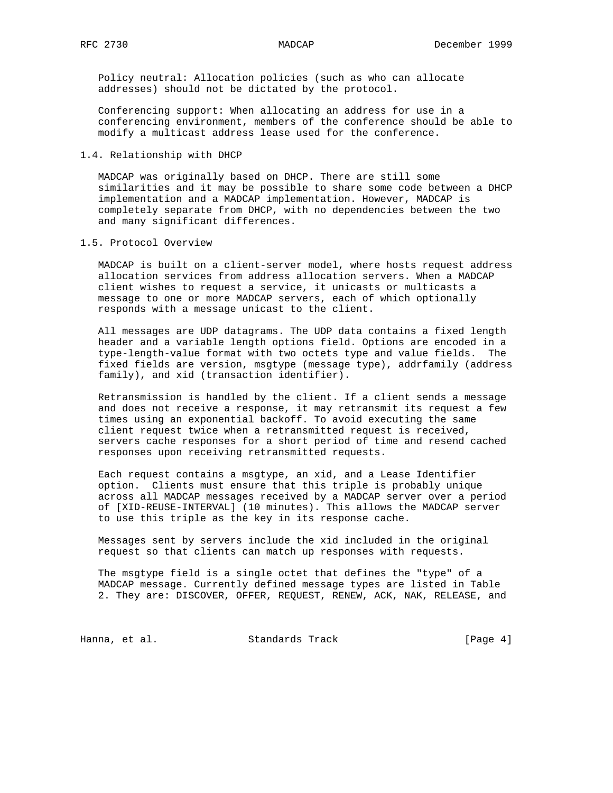Policy neutral: Allocation policies (such as who can allocate addresses) should not be dictated by the protocol.

 Conferencing support: When allocating an address for use in a conferencing environment, members of the conference should be able to modify a multicast address lease used for the conference.

1.4. Relationship with DHCP

 MADCAP was originally based on DHCP. There are still some similarities and it may be possible to share some code between a DHCP implementation and a MADCAP implementation. However, MADCAP is completely separate from DHCP, with no dependencies between the two and many significant differences.

## 1.5. Protocol Overview

 MADCAP is built on a client-server model, where hosts request address allocation services from address allocation servers. When a MADCAP client wishes to request a service, it unicasts or multicasts a message to one or more MADCAP servers, each of which optionally responds with a message unicast to the client.

 All messages are UDP datagrams. The UDP data contains a fixed length header and a variable length options field. Options are encoded in a type-length-value format with two octets type and value fields. The fixed fields are version, msgtype (message type), addrfamily (address family), and xid (transaction identifier).

 Retransmission is handled by the client. If a client sends a message and does not receive a response, it may retransmit its request a few times using an exponential backoff. To avoid executing the same client request twice when a retransmitted request is received, servers cache responses for a short period of time and resend cached responses upon receiving retransmitted requests.

 Each request contains a msgtype, an xid, and a Lease Identifier option. Clients must ensure that this triple is probably unique across all MADCAP messages received by a MADCAP server over a period of [XID-REUSE-INTERVAL] (10 minutes). This allows the MADCAP server to use this triple as the key in its response cache.

 Messages sent by servers include the xid included in the original request so that clients can match up responses with requests.

 The msgtype field is a single octet that defines the "type" of a MADCAP message. Currently defined message types are listed in Table 2. They are: DISCOVER, OFFER, REQUEST, RENEW, ACK, NAK, RELEASE, and

Hanna, et al. Standards Track [Page 4]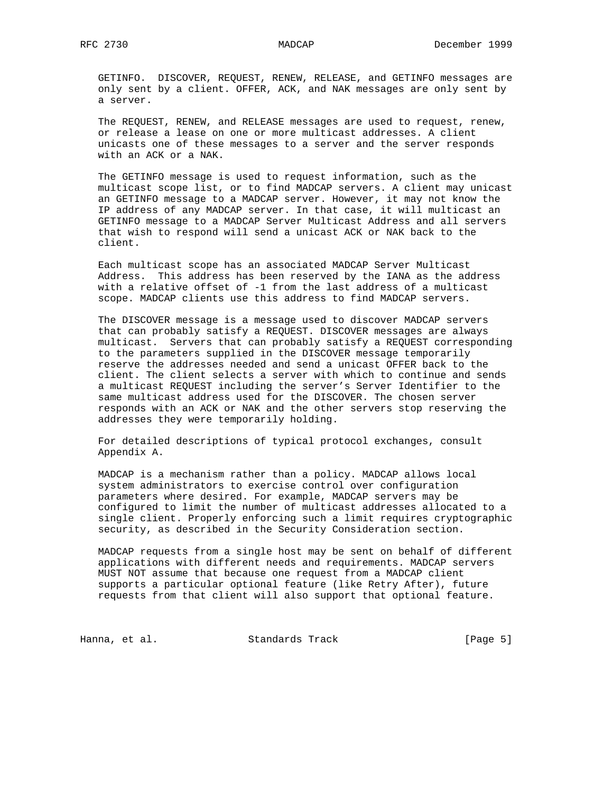GETINFO. DISCOVER, REQUEST, RENEW, RELEASE, and GETINFO messages are only sent by a client. OFFER, ACK, and NAK messages are only sent by a server.

 The REQUEST, RENEW, and RELEASE messages are used to request, renew, or release a lease on one or more multicast addresses. A client unicasts one of these messages to a server and the server responds with an ACK or a NAK.

 The GETINFO message is used to request information, such as the multicast scope list, or to find MADCAP servers. A client may unicast an GETINFO message to a MADCAP server. However, it may not know the IP address of any MADCAP server. In that case, it will multicast an GETINFO message to a MADCAP Server Multicast Address and all servers that wish to respond will send a unicast ACK or NAK back to the client.

 Each multicast scope has an associated MADCAP Server Multicast Address. This address has been reserved by the IANA as the address with a relative offset of -1 from the last address of a multicast scope. MADCAP clients use this address to find MADCAP servers.

 The DISCOVER message is a message used to discover MADCAP servers that can probably satisfy a REQUEST. DISCOVER messages are always multicast. Servers that can probably satisfy a REQUEST corresponding to the parameters supplied in the DISCOVER message temporarily reserve the addresses needed and send a unicast OFFER back to the client. The client selects a server with which to continue and sends a multicast REQUEST including the server's Server Identifier to the same multicast address used for the DISCOVER. The chosen server responds with an ACK or NAK and the other servers stop reserving the addresses they were temporarily holding.

 For detailed descriptions of typical protocol exchanges, consult Appendix A.

 MADCAP is a mechanism rather than a policy. MADCAP allows local system administrators to exercise control over configuration parameters where desired. For example, MADCAP servers may be configured to limit the number of multicast addresses allocated to a single client. Properly enforcing such a limit requires cryptographic security, as described in the Security Consideration section.

 MADCAP requests from a single host may be sent on behalf of different applications with different needs and requirements. MADCAP servers MUST NOT assume that because one request from a MADCAP client supports a particular optional feature (like Retry After), future requests from that client will also support that optional feature.

Hanna, et al. Standards Track (Page 5)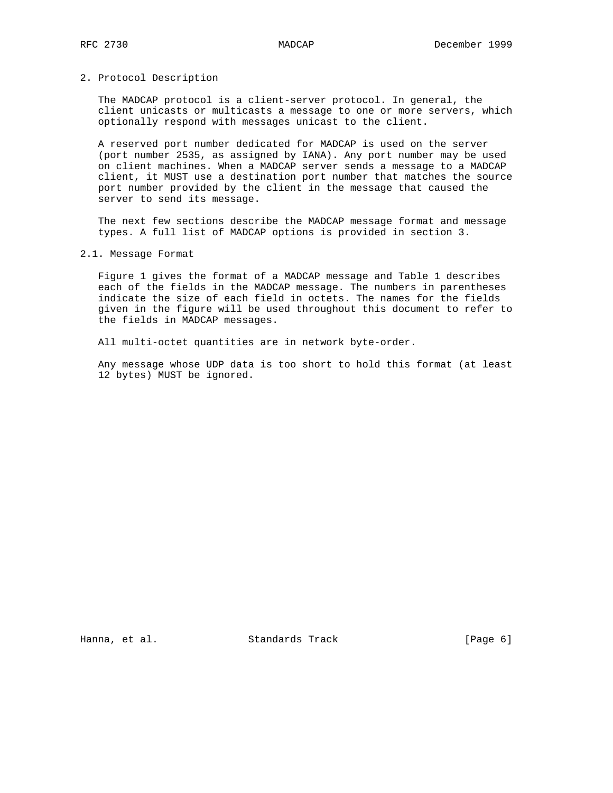## 2. Protocol Description

 The MADCAP protocol is a client-server protocol. In general, the client unicasts or multicasts a message to one or more servers, which optionally respond with messages unicast to the client.

 A reserved port number dedicated for MADCAP is used on the server (port number 2535, as assigned by IANA). Any port number may be used on client machines. When a MADCAP server sends a message to a MADCAP client, it MUST use a destination port number that matches the source port number provided by the client in the message that caused the server to send its message.

 The next few sections describe the MADCAP message format and message types. A full list of MADCAP options is provided in section 3.

2.1. Message Format

 Figure 1 gives the format of a MADCAP message and Table 1 describes each of the fields in the MADCAP message. The numbers in parentheses indicate the size of each field in octets. The names for the fields given in the figure will be used throughout this document to refer to the fields in MADCAP messages.

All multi-octet quantities are in network byte-order.

 Any message whose UDP data is too short to hold this format (at least 12 bytes) MUST be ignored.

Hanna, et al. Standards Track [Page 6]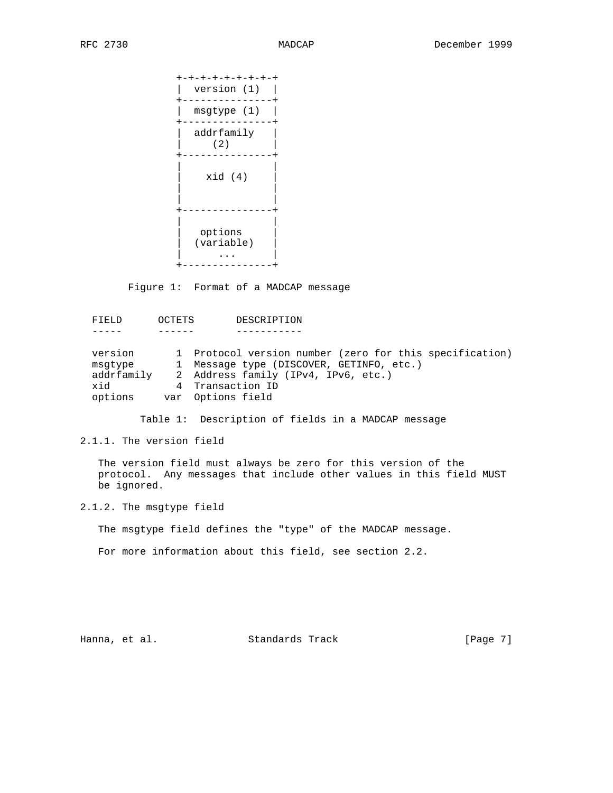+-+-+-+-+-+-+-+-+ | version (1) | +---------------+ | msgtype (1) | +---------------+ | addrfamily |  $(2)$  +---------------+ | |  $xid (4)$  | | | | +---------------+ | | options | (variable) | | ... | +---------------+

Figure 1: Format of a MADCAP message

 FIELD OCTETS DESCRIPTION ----- ------ ---------- version 1 Protocol version number (zero for this specification) msgtype 1 Message type (DISCOVER, GETINFO, etc.) addrfamily 2 Address family (IPv4, IPv6, etc.) xid 4 Transaction ID xid 1 Transaction II<br>options var Options field

Table 1: Description of fields in a MADCAP message

2.1.1. The version field

 The version field must always be zero for this version of the protocol. Any messages that include other values in this field MUST be ignored.

2.1.2. The msgtype field

The msgtype field defines the "type" of the MADCAP message.

For more information about this field, see section 2.2.

Hanna, et al. Standards Track [Page 7]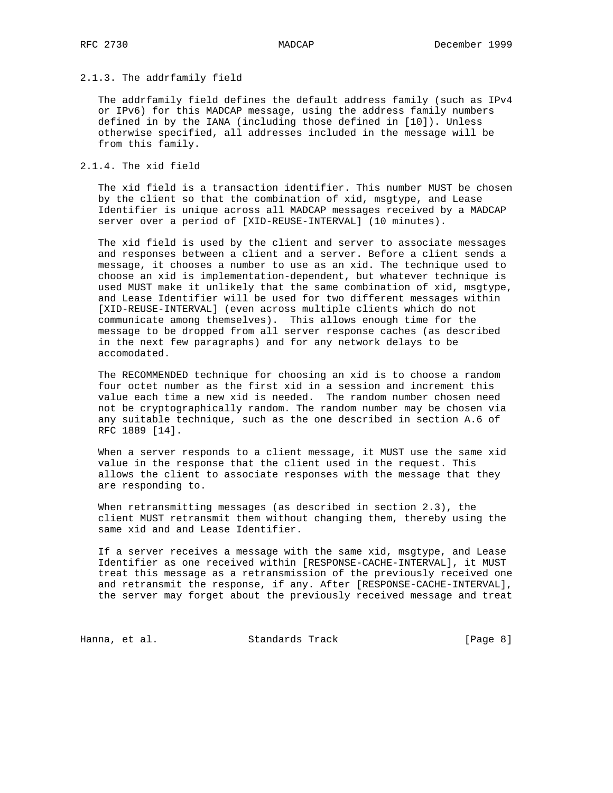## 2.1.3. The addrfamily field

 The addrfamily field defines the default address family (such as IPv4 or IPv6) for this MADCAP message, using the address family numbers defined in by the IANA (including those defined in [10]). Unless otherwise specified, all addresses included in the message will be from this family.

## 2.1.4. The xid field

 The xid field is a transaction identifier. This number MUST be chosen by the client so that the combination of xid, msgtype, and Lease Identifier is unique across all MADCAP messages received by a MADCAP server over a period of [XID-REUSE-INTERVAL] (10 minutes).

 The xid field is used by the client and server to associate messages and responses between a client and a server. Before a client sends a message, it chooses a number to use as an xid. The technique used to choose an xid is implementation-dependent, but whatever technique is used MUST make it unlikely that the same combination of xid, msgtype, and Lease Identifier will be used for two different messages within [XID-REUSE-INTERVAL] (even across multiple clients which do not communicate among themselves). This allows enough time for the message to be dropped from all server response caches (as described in the next few paragraphs) and for any network delays to be accomodated.

 The RECOMMENDED technique for choosing an xid is to choose a random four octet number as the first xid in a session and increment this value each time a new xid is needed. The random number chosen need not be cryptographically random. The random number may be chosen via any suitable technique, such as the one described in section A.6 of RFC 1889 [14].

 When a server responds to a client message, it MUST use the same xid value in the response that the client used in the request. This allows the client to associate responses with the message that they are responding to.

 When retransmitting messages (as described in section 2.3), the client MUST retransmit them without changing them, thereby using the same xid and and Lease Identifier.

 If a server receives a message with the same xid, msgtype, and Lease Identifier as one received within [RESPONSE-CACHE-INTERVAL], it MUST treat this message as a retransmission of the previously received one and retransmit the response, if any. After [RESPONSE-CACHE-INTERVAL], the server may forget about the previously received message and treat

Hanna, et al. Standards Track (Page 8)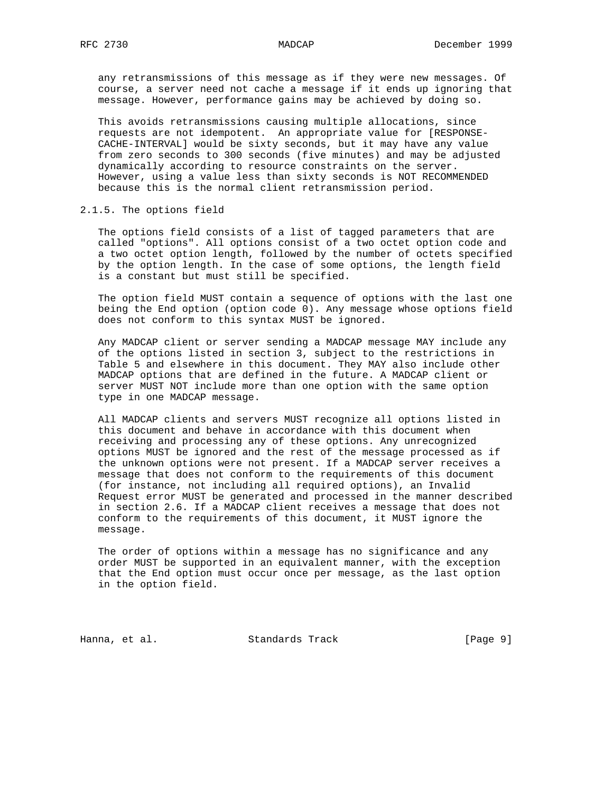any retransmissions of this message as if they were new messages. Of course, a server need not cache a message if it ends up ignoring that message. However, performance gains may be achieved by doing so.

 This avoids retransmissions causing multiple allocations, since requests are not idempotent. An appropriate value for [RESPONSE- CACHE-INTERVAL] would be sixty seconds, but it may have any value from zero seconds to 300 seconds (five minutes) and may be adjusted dynamically according to resource constraints on the server. However, using a value less than sixty seconds is NOT RECOMMENDED because this is the normal client retransmission period.

2.1.5. The options field

 The options field consists of a list of tagged parameters that are called "options". All options consist of a two octet option code and a two octet option length, followed by the number of octets specified by the option length. In the case of some options, the length field is a constant but must still be specified.

 The option field MUST contain a sequence of options with the last one being the End option (option code 0). Any message whose options field does not conform to this syntax MUST be ignored.

 Any MADCAP client or server sending a MADCAP message MAY include any of the options listed in section 3, subject to the restrictions in Table 5 and elsewhere in this document. They MAY also include other MADCAP options that are defined in the future. A MADCAP client or server MUST NOT include more than one option with the same option type in one MADCAP message.

 All MADCAP clients and servers MUST recognize all options listed in this document and behave in accordance with this document when receiving and processing any of these options. Any unrecognized options MUST be ignored and the rest of the message processed as if the unknown options were not present. If a MADCAP server receives a message that does not conform to the requirements of this document (for instance, not including all required options), an Invalid Request error MUST be generated and processed in the manner described in section 2.6. If a MADCAP client receives a message that does not conform to the requirements of this document, it MUST ignore the message.

 The order of options within a message has no significance and any order MUST be supported in an equivalent manner, with the exception that the End option must occur once per message, as the last option in the option field.

Hanna, et al. Standards Track (Page 9)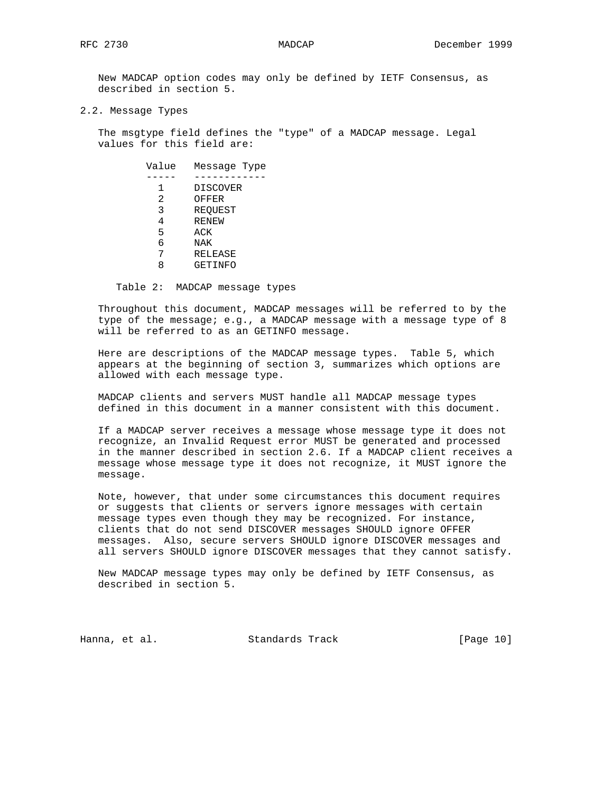New MADCAP option codes may only be defined by IETF Consensus, as described in section 5.

2.2. Message Types

 The msgtype field defines the "type" of a MADCAP message. Legal values for this field are:

> Value Message Type ----- ------------ 1 DISCOVER 2 OFFER 3 REQUEST 4 RENEW 5 ACK 6 NAK 7 RELEASE 8 GETINFO

Table 2: MADCAP message types

 Throughout this document, MADCAP messages will be referred to by the type of the message; e.g., a MADCAP message with a message type of 8 will be referred to as an GETINFO message.

 Here are descriptions of the MADCAP message types. Table 5, which appears at the beginning of section 3, summarizes which options are allowed with each message type.

 MADCAP clients and servers MUST handle all MADCAP message types defined in this document in a manner consistent with this document.

 If a MADCAP server receives a message whose message type it does not recognize, an Invalid Request error MUST be generated and processed in the manner described in section 2.6. If a MADCAP client receives a message whose message type it does not recognize, it MUST ignore the message.

 Note, however, that under some circumstances this document requires or suggests that clients or servers ignore messages with certain message types even though they may be recognized. For instance, clients that do not send DISCOVER messages SHOULD ignore OFFER messages. Also, secure servers SHOULD ignore DISCOVER messages and all servers SHOULD ignore DISCOVER messages that they cannot satisfy.

 New MADCAP message types may only be defined by IETF Consensus, as described in section 5.

Hanna, et al. Standards Track [Page 10]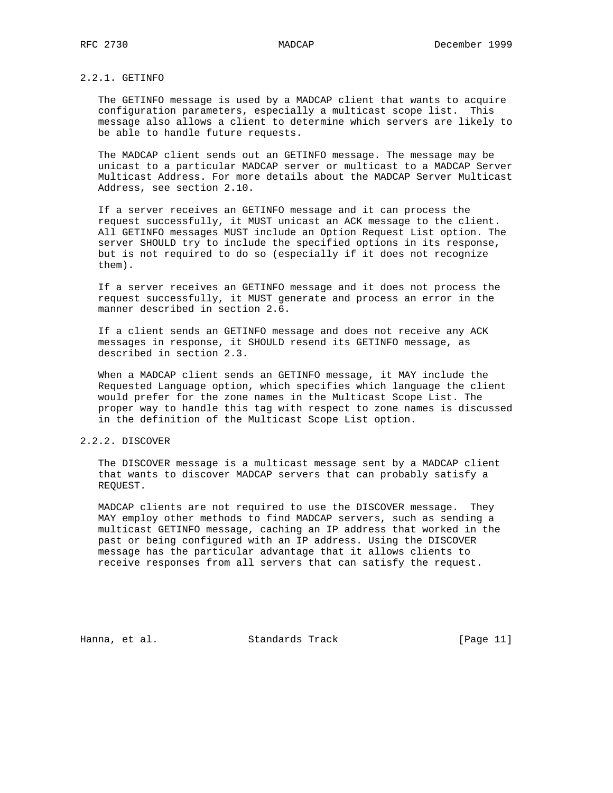# 2.2.1. GETINFO

 The GETINFO message is used by a MADCAP client that wants to acquire configuration parameters, especially a multicast scope list. This message also allows a client to determine which servers are likely to be able to handle future requests.

 The MADCAP client sends out an GETINFO message. The message may be unicast to a particular MADCAP server or multicast to a MADCAP Server Multicast Address. For more details about the MADCAP Server Multicast Address, see section 2.10.

 If a server receives an GETINFO message and it can process the request successfully, it MUST unicast an ACK message to the client. All GETINFO messages MUST include an Option Request List option. The server SHOULD try to include the specified options in its response, but is not required to do so (especially if it does not recognize them).

 If a server receives an GETINFO message and it does not process the request successfully, it MUST generate and process an error in the manner described in section 2.6.

 If a client sends an GETINFO message and does not receive any ACK messages in response, it SHOULD resend its GETINFO message, as described in section 2.3.

 When a MADCAP client sends an GETINFO message, it MAY include the Requested Language option, which specifies which language the client would prefer for the zone names in the Multicast Scope List. The proper way to handle this tag with respect to zone names is discussed in the definition of the Multicast Scope List option.

## 2.2.2. DISCOVER

 The DISCOVER message is a multicast message sent by a MADCAP client that wants to discover MADCAP servers that can probably satisfy a REQUEST.

 MADCAP clients are not required to use the DISCOVER message. They MAY employ other methods to find MADCAP servers, such as sending a multicast GETINFO message, caching an IP address that worked in the past or being configured with an IP address. Using the DISCOVER message has the particular advantage that it allows clients to receive responses from all servers that can satisfy the request.

Hanna, et al. Standards Track [Page 11]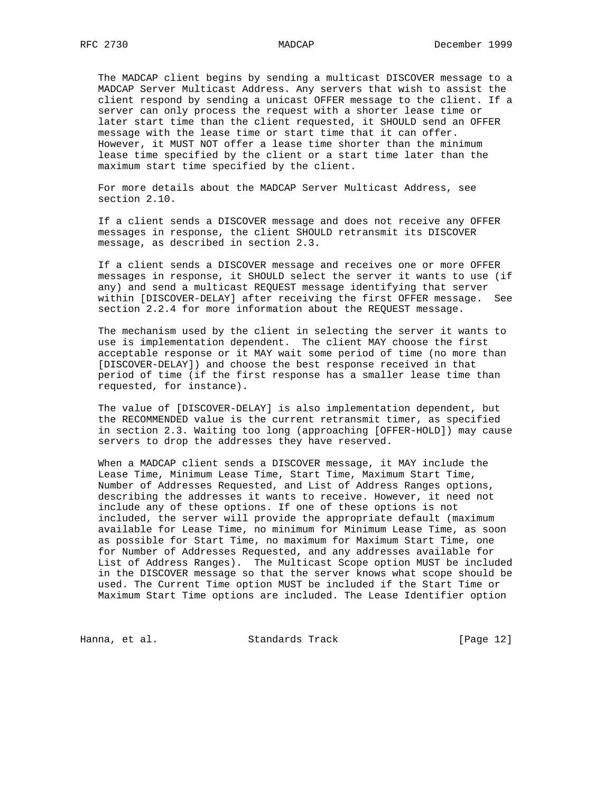The MADCAP client begins by sending a multicast DISCOVER message to a MADCAP Server Multicast Address. Any servers that wish to assist the client respond by sending a unicast OFFER message to the client. If a server can only process the request with a shorter lease time or later start time than the client requested, it SHOULD send an OFFER message with the lease time or start time that it can offer. However, it MUST NOT offer a lease time shorter than the minimum lease time specified by the client or a start time later than the maximum start time specified by the client.

 For more details about the MADCAP Server Multicast Address, see section 2.10.

 If a client sends a DISCOVER message and does not receive any OFFER messages in response, the client SHOULD retransmit its DISCOVER message, as described in section 2.3.

 If a client sends a DISCOVER message and receives one or more OFFER messages in response, it SHOULD select the server it wants to use (if any) and send a multicast REQUEST message identifying that server within [DISCOVER-DELAY] after receiving the first OFFER message. See section 2.2.4 for more information about the REQUEST message.

 The mechanism used by the client in selecting the server it wants to use is implementation dependent. The client MAY choose the first acceptable response or it MAY wait some period of time (no more than [DISCOVER-DELAY]) and choose the best response received in that period of time (if the first response has a smaller lease time than requested, for instance).

 The value of [DISCOVER-DELAY] is also implementation dependent, but the RECOMMENDED value is the current retransmit timer, as specified in section 2.3. Waiting too long (approaching [OFFER-HOLD]) may cause servers to drop the addresses they have reserved.

 When a MADCAP client sends a DISCOVER message, it MAY include the Lease Time, Minimum Lease Time, Start Time, Maximum Start Time, Number of Addresses Requested, and List of Address Ranges options, describing the addresses it wants to receive. However, it need not include any of these options. If one of these options is not included, the server will provide the appropriate default (maximum available for Lease Time, no minimum for Minimum Lease Time, as soon as possible for Start Time, no maximum for Maximum Start Time, one for Number of Addresses Requested, and any addresses available for List of Address Ranges). The Multicast Scope option MUST be included in the DISCOVER message so that the server knows what scope should be used. The Current Time option MUST be included if the Start Time or Maximum Start Time options are included. The Lease Identifier option

Hanna, et al. Standards Track [Page 12]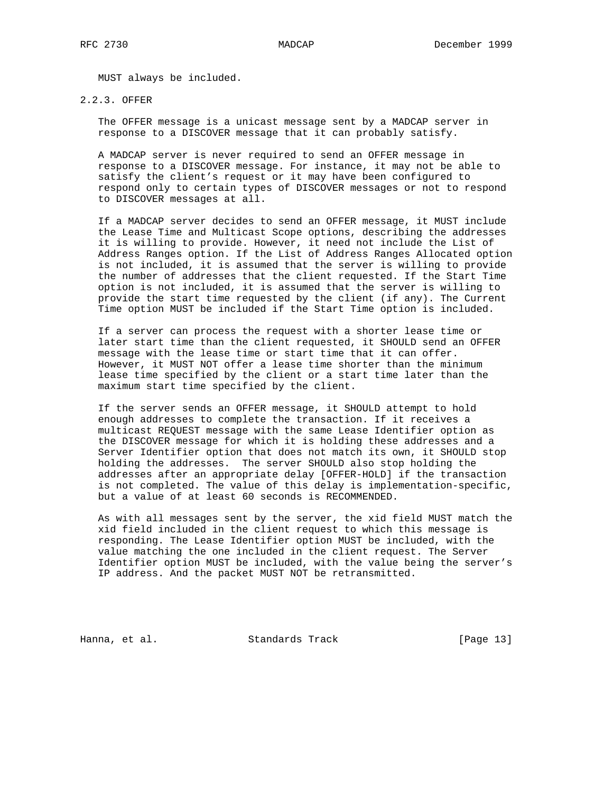MUST always be included.

2.2.3. OFFER

 The OFFER message is a unicast message sent by a MADCAP server in response to a DISCOVER message that it can probably satisfy.

 A MADCAP server is never required to send an OFFER message in response to a DISCOVER message. For instance, it may not be able to satisfy the client's request or it may have been configured to respond only to certain types of DISCOVER messages or not to respond to DISCOVER messages at all.

 If a MADCAP server decides to send an OFFER message, it MUST include the Lease Time and Multicast Scope options, describing the addresses it is willing to provide. However, it need not include the List of Address Ranges option. If the List of Address Ranges Allocated option is not included, it is assumed that the server is willing to provide the number of addresses that the client requested. If the Start Time option is not included, it is assumed that the server is willing to provide the start time requested by the client (if any). The Current Time option MUST be included if the Start Time option is included.

 If a server can process the request with a shorter lease time or later start time than the client requested, it SHOULD send an OFFER message with the lease time or start time that it can offer. However, it MUST NOT offer a lease time shorter than the minimum lease time specified by the client or a start time later than the maximum start time specified by the client.

 If the server sends an OFFER message, it SHOULD attempt to hold enough addresses to complete the transaction. If it receives a multicast REQUEST message with the same Lease Identifier option as the DISCOVER message for which it is holding these addresses and a Server Identifier option that does not match its own, it SHOULD stop holding the addresses. The server SHOULD also stop holding the addresses after an appropriate delay [OFFER-HOLD] if the transaction is not completed. The value of this delay is implementation-specific, but a value of at least 60 seconds is RECOMMENDED.

 As with all messages sent by the server, the xid field MUST match the xid field included in the client request to which this message is responding. The Lease Identifier option MUST be included, with the value matching the one included in the client request. The Server Identifier option MUST be included, with the value being the server's IP address. And the packet MUST NOT be retransmitted.

Hanna, et al. Standards Track [Page 13]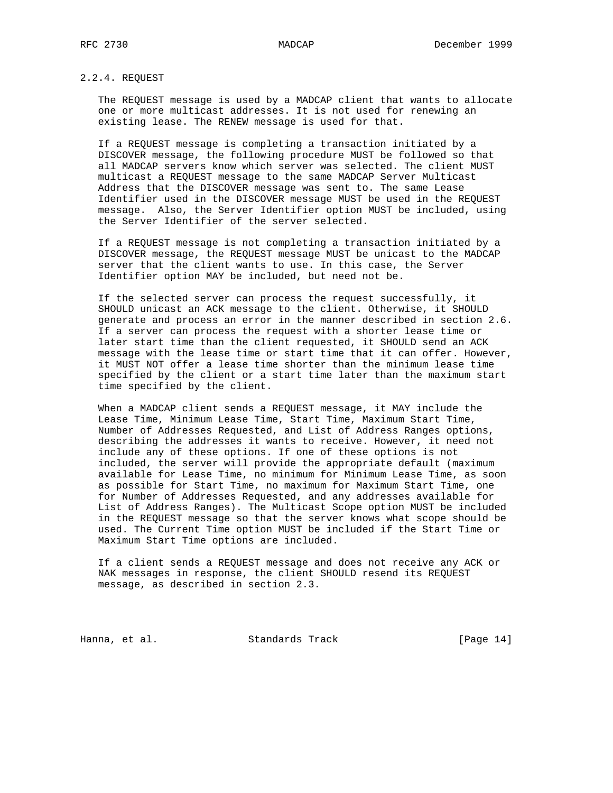## 2.2.4. REQUEST

 The REQUEST message is used by a MADCAP client that wants to allocate one or more multicast addresses. It is not used for renewing an existing lease. The RENEW message is used for that.

 If a REQUEST message is completing a transaction initiated by a DISCOVER message, the following procedure MUST be followed so that all MADCAP servers know which server was selected. The client MUST multicast a REQUEST message to the same MADCAP Server Multicast Address that the DISCOVER message was sent to. The same Lease Identifier used in the DISCOVER message MUST be used in the REQUEST message. Also, the Server Identifier option MUST be included, using the Server Identifier of the server selected.

 If a REQUEST message is not completing a transaction initiated by a DISCOVER message, the REQUEST message MUST be unicast to the MADCAP server that the client wants to use. In this case, the Server Identifier option MAY be included, but need not be.

 If the selected server can process the request successfully, it SHOULD unicast an ACK message to the client. Otherwise, it SHOULD generate and process an error in the manner described in section 2.6. If a server can process the request with a shorter lease time or later start time than the client requested, it SHOULD send an ACK message with the lease time or start time that it can offer. However, it MUST NOT offer a lease time shorter than the minimum lease time specified by the client or a start time later than the maximum start time specified by the client.

 When a MADCAP client sends a REQUEST message, it MAY include the Lease Time, Minimum Lease Time, Start Time, Maximum Start Time, Number of Addresses Requested, and List of Address Ranges options, describing the addresses it wants to receive. However, it need not include any of these options. If one of these options is not included, the server will provide the appropriate default (maximum available for Lease Time, no minimum for Minimum Lease Time, as soon as possible for Start Time, no maximum for Maximum Start Time, one for Number of Addresses Requested, and any addresses available for List of Address Ranges). The Multicast Scope option MUST be included in the REQUEST message so that the server knows what scope should be used. The Current Time option MUST be included if the Start Time or Maximum Start Time options are included.

 If a client sends a REQUEST message and does not receive any ACK or NAK messages in response, the client SHOULD resend its REQUEST message, as described in section 2.3.

Hanna, et al. Standards Track [Page 14]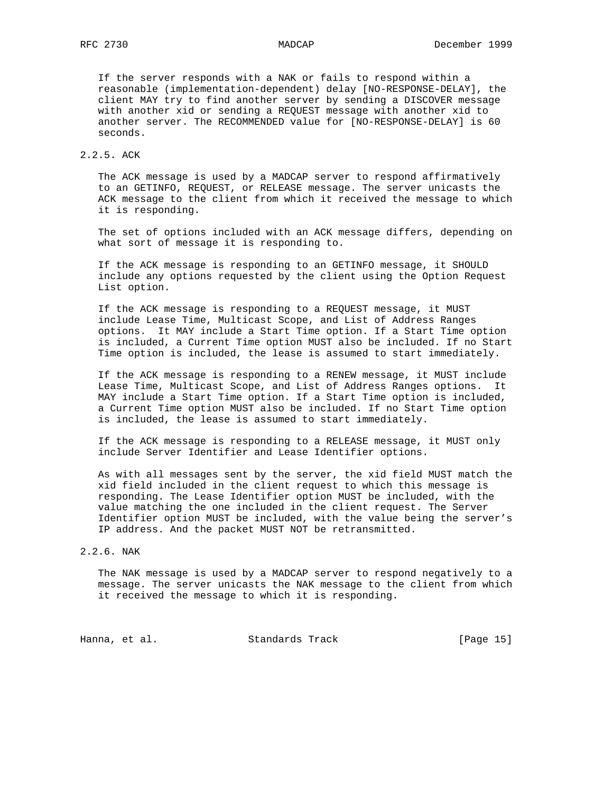If the server responds with a NAK or fails to respond within a reasonable (implementation-dependent) delay [NO-RESPONSE-DELAY], the client MAY try to find another server by sending a DISCOVER message with another xid or sending a REQUEST message with another xid to another server. The RECOMMENDED value for [NO-RESPONSE-DELAY] is 60 seconds.

## 2.2.5. ACK

 The ACK message is used by a MADCAP server to respond affirmatively to an GETINFO, REQUEST, or RELEASE message. The server unicasts the ACK message to the client from which it received the message to which it is responding.

 The set of options included with an ACK message differs, depending on what sort of message it is responding to.

 If the ACK message is responding to an GETINFO message, it SHOULD include any options requested by the client using the Option Request List option.

 If the ACK message is responding to a REQUEST message, it MUST include Lease Time, Multicast Scope, and List of Address Ranges options. It MAY include a Start Time option. If a Start Time option is included, a Current Time option MUST also be included. If no Start Time option is included, the lease is assumed to start immediately.

 If the ACK message is responding to a RENEW message, it MUST include Lease Time, Multicast Scope, and List of Address Ranges options. It MAY include a Start Time option. If a Start Time option is included, a Current Time option MUST also be included. If no Start Time option is included, the lease is assumed to start immediately.

 If the ACK message is responding to a RELEASE message, it MUST only include Server Identifier and Lease Identifier options.

 As with all messages sent by the server, the xid field MUST match the xid field included in the client request to which this message is responding. The Lease Identifier option MUST be included, with the value matching the one included in the client request. The Server Identifier option MUST be included, with the value being the server's IP address. And the packet MUST NOT be retransmitted.

### 2.2.6. NAK

 The NAK message is used by a MADCAP server to respond negatively to a message. The server unicasts the NAK message to the client from which it received the message to which it is responding.

Hanna, et al. Standards Track [Page 15]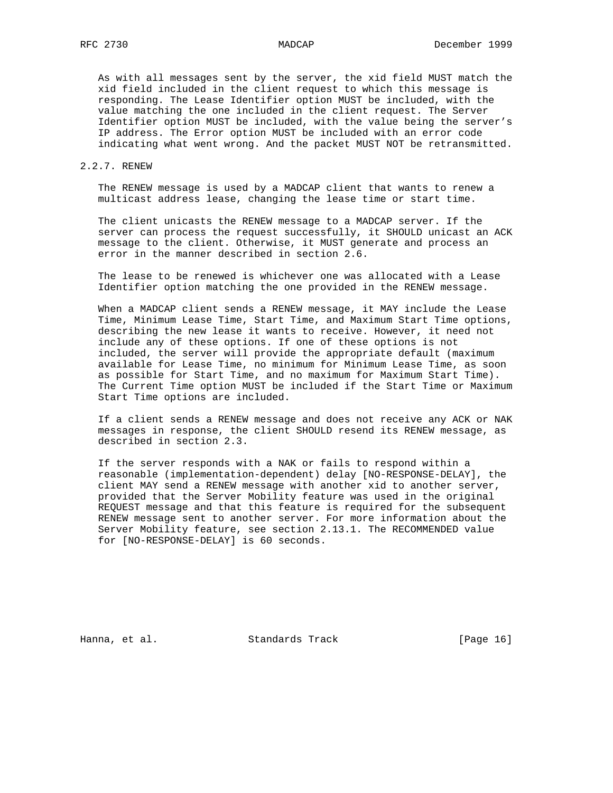As with all messages sent by the server, the xid field MUST match the xid field included in the client request to which this message is responding. The Lease Identifier option MUST be included, with the value matching the one included in the client request. The Server Identifier option MUST be included, with the value being the server's IP address. The Error option MUST be included with an error code indicating what went wrong. And the packet MUST NOT be retransmitted.

## 2.2.7. RENEW

 The RENEW message is used by a MADCAP client that wants to renew a multicast address lease, changing the lease time or start time.

 The client unicasts the RENEW message to a MADCAP server. If the server can process the request successfully, it SHOULD unicast an ACK message to the client. Otherwise, it MUST generate and process an error in the manner described in section 2.6.

 The lease to be renewed is whichever one was allocated with a Lease Identifier option matching the one provided in the RENEW message.

 When a MADCAP client sends a RENEW message, it MAY include the Lease Time, Minimum Lease Time, Start Time, and Maximum Start Time options, describing the new lease it wants to receive. However, it need not include any of these options. If one of these options is not included, the server will provide the appropriate default (maximum available for Lease Time, no minimum for Minimum Lease Time, as soon as possible for Start Time, and no maximum for Maximum Start Time). The Current Time option MUST be included if the Start Time or Maximum Start Time options are included.

 If a client sends a RENEW message and does not receive any ACK or NAK messages in response, the client SHOULD resend its RENEW message, as described in section 2.3.

 If the server responds with a NAK or fails to respond within a reasonable (implementation-dependent) delay [NO-RESPONSE-DELAY], the client MAY send a RENEW message with another xid to another server, provided that the Server Mobility feature was used in the original REQUEST message and that this feature is required for the subsequent RENEW message sent to another server. For more information about the Server Mobility feature, see section 2.13.1. The RECOMMENDED value for [NO-RESPONSE-DELAY] is 60 seconds.

Hanna, et al. Standards Track [Page 16]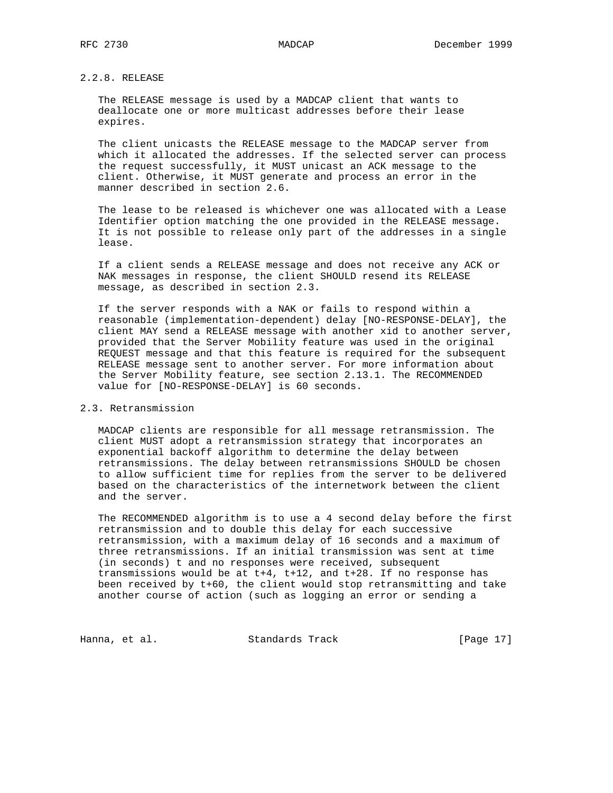# 2.2.8. RELEASE

 The RELEASE message is used by a MADCAP client that wants to deallocate one or more multicast addresses before their lease expires.

 The client unicasts the RELEASE message to the MADCAP server from which it allocated the addresses. If the selected server can process the request successfully, it MUST unicast an ACK message to the client. Otherwise, it MUST generate and process an error in the manner described in section 2.6.

 The lease to be released is whichever one was allocated with a Lease Identifier option matching the one provided in the RELEASE message. It is not possible to release only part of the addresses in a single lease.

 If a client sends a RELEASE message and does not receive any ACK or NAK messages in response, the client SHOULD resend its RELEASE message, as described in section 2.3.

 If the server responds with a NAK or fails to respond within a reasonable (implementation-dependent) delay [NO-RESPONSE-DELAY], the client MAY send a RELEASE message with another xid to another server, provided that the Server Mobility feature was used in the original REQUEST message and that this feature is required for the subsequent RELEASE message sent to another server. For more information about the Server Mobility feature, see section 2.13.1. The RECOMMENDED value for [NO-RESPONSE-DELAY] is 60 seconds.

# 2.3. Retransmission

 MADCAP clients are responsible for all message retransmission. The client MUST adopt a retransmission strategy that incorporates an exponential backoff algorithm to determine the delay between retransmissions. The delay between retransmissions SHOULD be chosen to allow sufficient time for replies from the server to be delivered based on the characteristics of the internetwork between the client and the server.

 The RECOMMENDED algorithm is to use a 4 second delay before the first retransmission and to double this delay for each successive retransmission, with a maximum delay of 16 seconds and a maximum of three retransmissions. If an initial transmission was sent at time (in seconds) t and no responses were received, subsequent transmissions would be at t+4, t+12, and t+28. If no response has been received by t+60, the client would stop retransmitting and take another course of action (such as logging an error or sending a

Hanna, et al. Standards Track [Page 17]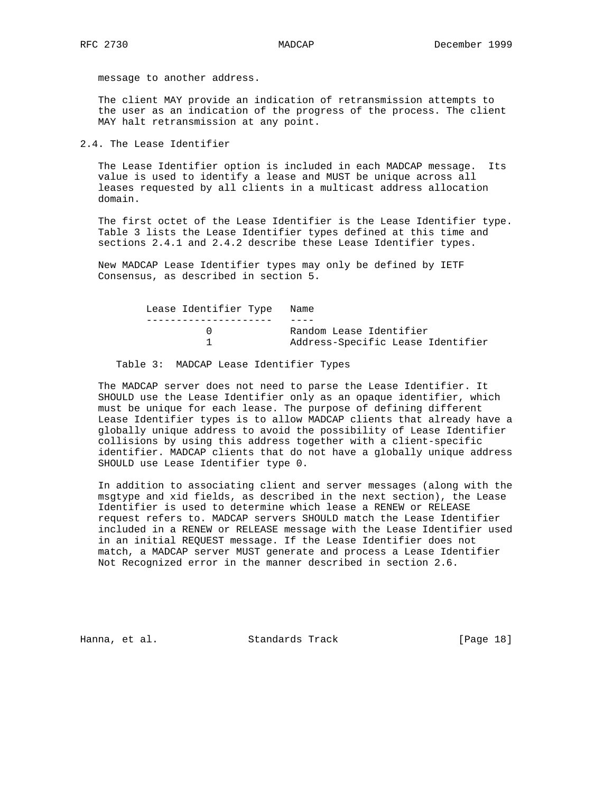message to another address.

 The client MAY provide an indication of retransmission attempts to the user as an indication of the progress of the process. The client MAY halt retransmission at any point.

2.4. The Lease Identifier

 The Lease Identifier option is included in each MADCAP message. Its value is used to identify a lease and MUST be unique across all leases requested by all clients in a multicast address allocation domain.

 The first octet of the Lease Identifier is the Lease Identifier type. Table 3 lists the Lease Identifier types defined at this time and sections 2.4.1 and 2.4.2 describe these Lease Identifier types.

 New MADCAP Lease Identifier types may only be defined by IETF Consensus, as described in section 5.

| Lease Identifier Type Name |                                   |
|----------------------------|-----------------------------------|
|                            |                                   |
|                            | Random Lease Identifier           |
|                            | Address-Specific Lease Identifier |
|                            |                                   |

Table 3: MADCAP Lease Identifier Types

 The MADCAP server does not need to parse the Lease Identifier. It SHOULD use the Lease Identifier only as an opaque identifier, which must be unique for each lease. The purpose of defining different Lease Identifier types is to allow MADCAP clients that already have a globally unique address to avoid the possibility of Lease Identifier collisions by using this address together with a client-specific identifier. MADCAP clients that do not have a globally unique address SHOULD use Lease Identifier type 0.

 In addition to associating client and server messages (along with the msgtype and xid fields, as described in the next section), the Lease Identifier is used to determine which lease a RENEW or RELEASE request refers to. MADCAP servers SHOULD match the Lease Identifier included in a RENEW or RELEASE message with the Lease Identifier used in an initial REQUEST message. If the Lease Identifier does not match, a MADCAP server MUST generate and process a Lease Identifier Not Recognized error in the manner described in section 2.6.

Hanna, et al. Standards Track [Page 18]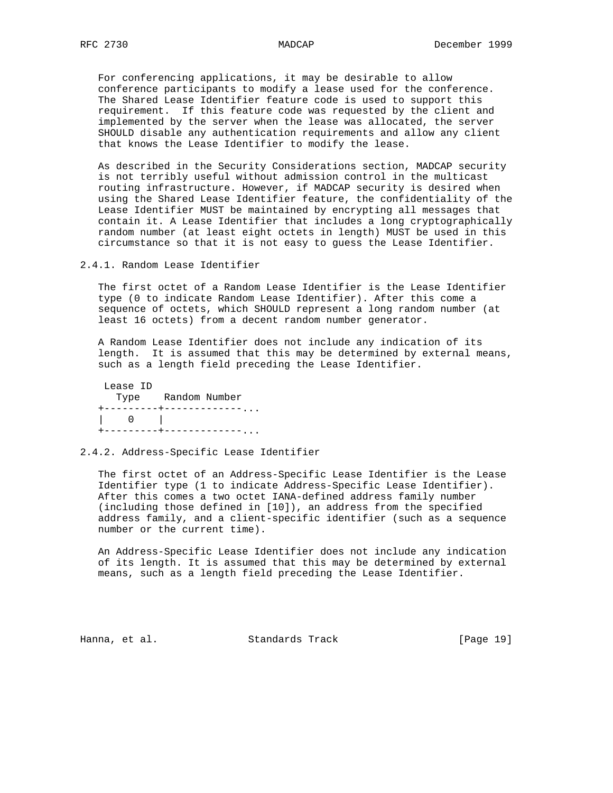For conferencing applications, it may be desirable to allow conference participants to modify a lease used for the conference. The Shared Lease Identifier feature code is used to support this requirement. If this feature code was requested by the client and implemented by the server when the lease was allocated, the server SHOULD disable any authentication requirements and allow any client that knows the Lease Identifier to modify the lease.

 As described in the Security Considerations section, MADCAP security is not terribly useful without admission control in the multicast routing infrastructure. However, if MADCAP security is desired when using the Shared Lease Identifier feature, the confidentiality of the Lease Identifier MUST be maintained by encrypting all messages that contain it. A Lease Identifier that includes a long cryptographically random number (at least eight octets in length) MUST be used in this circumstance so that it is not easy to guess the Lease Identifier.

2.4.1. Random Lease Identifier

 The first octet of a Random Lease Identifier is the Lease Identifier type (0 to indicate Random Lease Identifier). After this come a sequence of octets, which SHOULD represent a long random number (at least 16 octets) from a decent random number generator.

 A Random Lease Identifier does not include any indication of its length. It is assumed that this may be determined by external means, such as a length field preceding the Lease Identifier.

| Lease ID         |               |
|------------------|---------------|
| Type             | Random Number |
|                  |               |
| $\left( \right)$ |               |
|                  |               |

2.4.2. Address-Specific Lease Identifier

 The first octet of an Address-Specific Lease Identifier is the Lease Identifier type (1 to indicate Address-Specific Lease Identifier). After this comes a two octet IANA-defined address family number (including those defined in [10]), an address from the specified address family, and a client-specific identifier (such as a sequence number or the current time).

 An Address-Specific Lease Identifier does not include any indication of its length. It is assumed that this may be determined by external means, such as a length field preceding the Lease Identifier.

Hanna, et al. Standards Track [Page 19]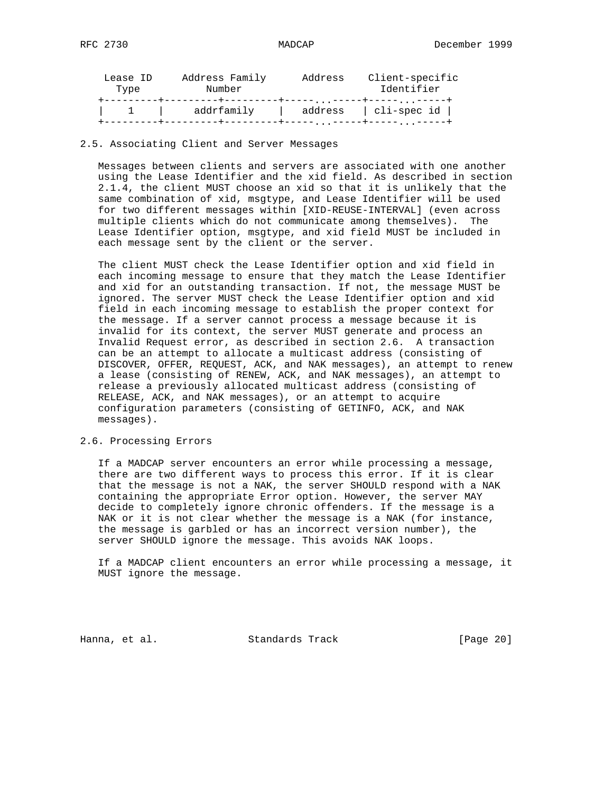| Lease ID<br>Type | Address Family<br>Address<br>Number |               | Client-specific<br>Identifier       |  |
|------------------|-------------------------------------|---------------|-------------------------------------|--|
|                  | addrfamily                          | address<br>—— | cli-spec id<br>$\ddot{\phantom{0}}$ |  |

## 2.5. Associating Client and Server Messages

 Messages between clients and servers are associated with one another using the Lease Identifier and the xid field. As described in section 2.1.4, the client MUST choose an xid so that it is unlikely that the same combination of xid, msgtype, and Lease Identifier will be used for two different messages within [XID-REUSE-INTERVAL] (even across multiple clients which do not communicate among themselves). The Lease Identifier option, msgtype, and xid field MUST be included in each message sent by the client or the server.

 The client MUST check the Lease Identifier option and xid field in each incoming message to ensure that they match the Lease Identifier and xid for an outstanding transaction. If not, the message MUST be ignored. The server MUST check the Lease Identifier option and xid field in each incoming message to establish the proper context for the message. If a server cannot process a message because it is invalid for its context, the server MUST generate and process an Invalid Request error, as described in section 2.6. A transaction can be an attempt to allocate a multicast address (consisting of DISCOVER, OFFER, REQUEST, ACK, and NAK messages), an attempt to renew a lease (consisting of RENEW, ACK, and NAK messages), an attempt to release a previously allocated multicast address (consisting of RELEASE, ACK, and NAK messages), or an attempt to acquire configuration parameters (consisting of GETINFO, ACK, and NAK messages).

## 2.6. Processing Errors

 If a MADCAP server encounters an error while processing a message, there are two different ways to process this error. If it is clear that the message is not a NAK, the server SHOULD respond with a NAK containing the appropriate Error option. However, the server MAY decide to completely ignore chronic offenders. If the message is a NAK or it is not clear whether the message is a NAK (for instance, the message is garbled or has an incorrect version number), the server SHOULD ignore the message. This avoids NAK loops.

 If a MADCAP client encounters an error while processing a message, it MUST ignore the message.

Hanna, et al. Standards Track [Page 20]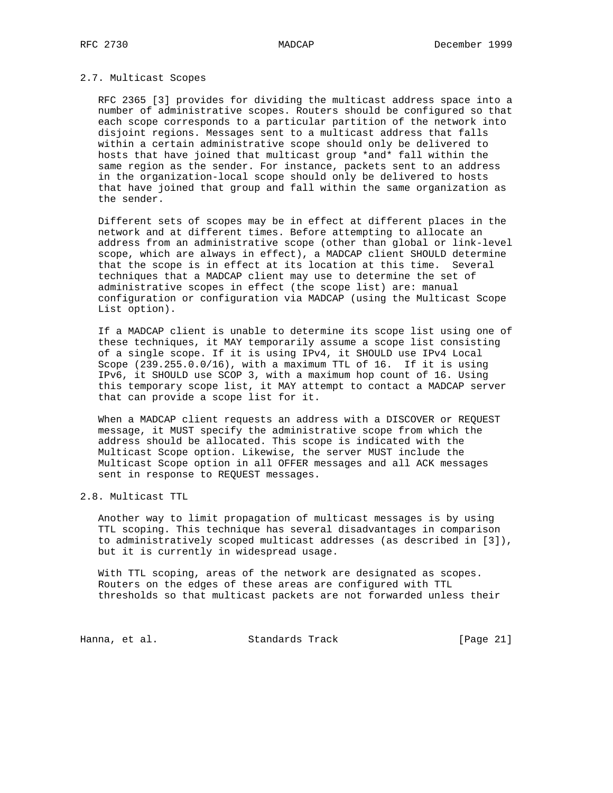## 2.7. Multicast Scopes

 RFC 2365 [3] provides for dividing the multicast address space into a number of administrative scopes. Routers should be configured so that each scope corresponds to a particular partition of the network into disjoint regions. Messages sent to a multicast address that falls within a certain administrative scope should only be delivered to hosts that have joined that multicast group \*and\* fall within the same region as the sender. For instance, packets sent to an address in the organization-local scope should only be delivered to hosts that have joined that group and fall within the same organization as the sender.

 Different sets of scopes may be in effect at different places in the network and at different times. Before attempting to allocate an address from an administrative scope (other than global or link-level scope, which are always in effect), a MADCAP client SHOULD determine that the scope is in effect at its location at this time. Several techniques that a MADCAP client may use to determine the set of administrative scopes in effect (the scope list) are: manual configuration or configuration via MADCAP (using the Multicast Scope List option).

 If a MADCAP client is unable to determine its scope list using one of these techniques, it MAY temporarily assume a scope list consisting of a single scope. If it is using IPv4, it SHOULD use IPv4 Local Scope (239.255.0.0/16), with a maximum TTL of 16. If it is using IPv6, it SHOULD use SCOP 3, with a maximum hop count of 16. Using this temporary scope list, it MAY attempt to contact a MADCAP server that can provide a scope list for it.

 When a MADCAP client requests an address with a DISCOVER or REQUEST message, it MUST specify the administrative scope from which the address should be allocated. This scope is indicated with the Multicast Scope option. Likewise, the server MUST include the Multicast Scope option in all OFFER messages and all ACK messages sent in response to REQUEST messages.

2.8. Multicast TTL

 Another way to limit propagation of multicast messages is by using TTL scoping. This technique has several disadvantages in comparison to administratively scoped multicast addresses (as described in [3]), but it is currently in widespread usage.

 With TTL scoping, areas of the network are designated as scopes. Routers on the edges of these areas are configured with TTL thresholds so that multicast packets are not forwarded unless their

Hanna, et al. Standards Track [Page 21]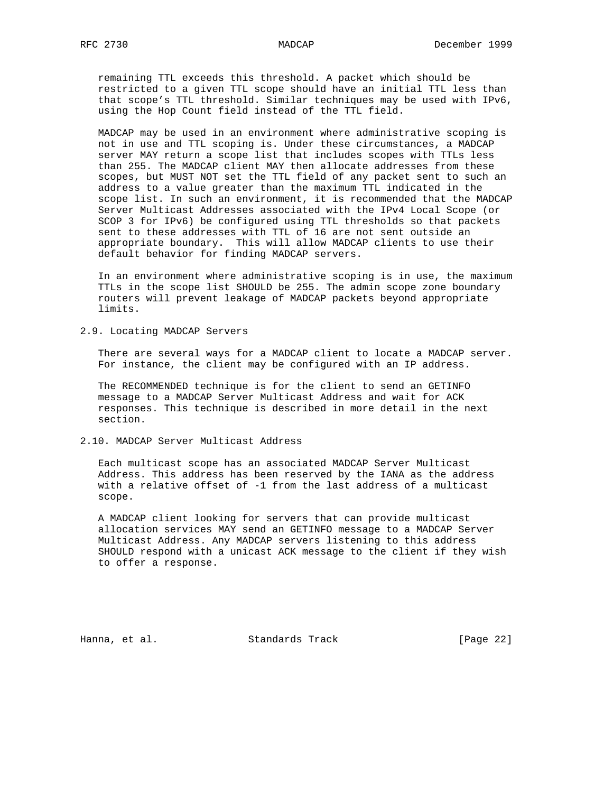remaining TTL exceeds this threshold. A packet which should be restricted to a given TTL scope should have an initial TTL less than that scope's TTL threshold. Similar techniques may be used with IPv6, using the Hop Count field instead of the TTL field.

 MADCAP may be used in an environment where administrative scoping is not in use and TTL scoping is. Under these circumstances, a MADCAP server MAY return a scope list that includes scopes with TTLs less than 255. The MADCAP client MAY then allocate addresses from these scopes, but MUST NOT set the TTL field of any packet sent to such an address to a value greater than the maximum TTL indicated in the scope list. In such an environment, it is recommended that the MADCAP Server Multicast Addresses associated with the IPv4 Local Scope (or SCOP 3 for IPv6) be configured using TTL thresholds so that packets sent to these addresses with TTL of 16 are not sent outside an appropriate boundary. This will allow MADCAP clients to use their default behavior for finding MADCAP servers.

 In an environment where administrative scoping is in use, the maximum TTLs in the scope list SHOULD be 255. The admin scope zone boundary routers will prevent leakage of MADCAP packets beyond appropriate limits.

2.9. Locating MADCAP Servers

 There are several ways for a MADCAP client to locate a MADCAP server. For instance, the client may be configured with an IP address.

 The RECOMMENDED technique is for the client to send an GETINFO message to a MADCAP Server Multicast Address and wait for ACK responses. This technique is described in more detail in the next section.

2.10. MADCAP Server Multicast Address

 Each multicast scope has an associated MADCAP Server Multicast Address. This address has been reserved by the IANA as the address with a relative offset of -1 from the last address of a multicast scope.

 A MADCAP client looking for servers that can provide multicast allocation services MAY send an GETINFO message to a MADCAP Server Multicast Address. Any MADCAP servers listening to this address SHOULD respond with a unicast ACK message to the client if they wish to offer a response.

Hanna, et al. Standards Track [Page 22]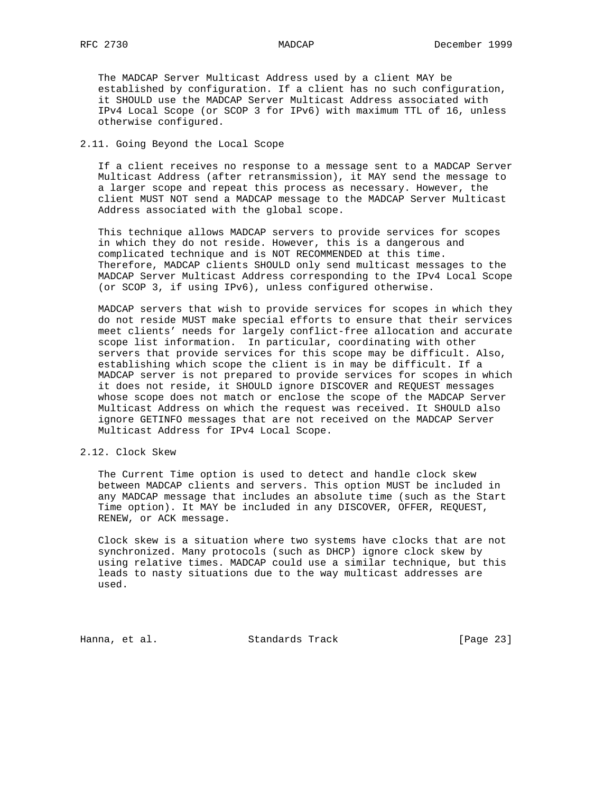The MADCAP Server Multicast Address used by a client MAY be established by configuration. If a client has no such configuration, it SHOULD use the MADCAP Server Multicast Address associated with IPv4 Local Scope (or SCOP 3 for IPv6) with maximum TTL of 16, unless otherwise configured.

## 2.11. Going Beyond the Local Scope

 If a client receives no response to a message sent to a MADCAP Server Multicast Address (after retransmission), it MAY send the message to a larger scope and repeat this process as necessary. However, the client MUST NOT send a MADCAP message to the MADCAP Server Multicast Address associated with the global scope.

 This technique allows MADCAP servers to provide services for scopes in which they do not reside. However, this is a dangerous and complicated technique and is NOT RECOMMENDED at this time. Therefore, MADCAP clients SHOULD only send multicast messages to the MADCAP Server Multicast Address corresponding to the IPv4 Local Scope (or SCOP 3, if using IPv6), unless configured otherwise.

 MADCAP servers that wish to provide services for scopes in which they do not reside MUST make special efforts to ensure that their services meet clients' needs for largely conflict-free allocation and accurate scope list information. In particular, coordinating with other servers that provide services for this scope may be difficult. Also, establishing which scope the client is in may be difficult. If a MADCAP server is not prepared to provide services for scopes in which it does not reside, it SHOULD ignore DISCOVER and REQUEST messages whose scope does not match or enclose the scope of the MADCAP Server Multicast Address on which the request was received. It SHOULD also ignore GETINFO messages that are not received on the MADCAP Server Multicast Address for IPv4 Local Scope.

## 2.12. Clock Skew

 The Current Time option is used to detect and handle clock skew between MADCAP clients and servers. This option MUST be included in any MADCAP message that includes an absolute time (such as the Start Time option). It MAY be included in any DISCOVER, OFFER, REQUEST, RENEW, or ACK message.

 Clock skew is a situation where two systems have clocks that are not synchronized. Many protocols (such as DHCP) ignore clock skew by using relative times. MADCAP could use a similar technique, but this leads to nasty situations due to the way multicast addresses are used.

Hanna, et al. Standards Track [Page 23]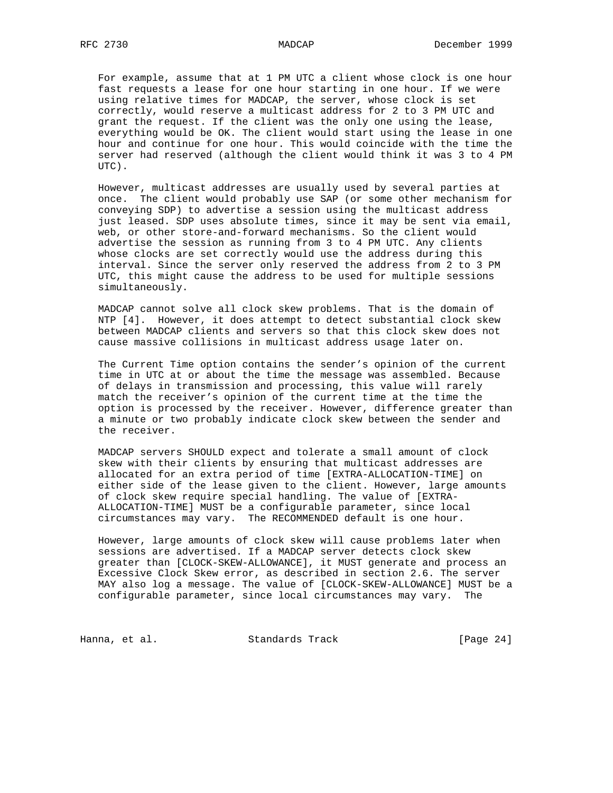For example, assume that at 1 PM UTC a client whose clock is one hour fast requests a lease for one hour starting in one hour. If we were using relative times for MADCAP, the server, whose clock is set correctly, would reserve a multicast address for 2 to 3 PM UTC and grant the request. If the client was the only one using the lease, everything would be OK. The client would start using the lease in one hour and continue for one hour. This would coincide with the time the server had reserved (although the client would think it was 3 to 4 PM UTC).

 However, multicast addresses are usually used by several parties at once. The client would probably use SAP (or some other mechanism for conveying SDP) to advertise a session using the multicast address just leased. SDP uses absolute times, since it may be sent via email, web, or other store-and-forward mechanisms. So the client would advertise the session as running from 3 to 4 PM UTC. Any clients whose clocks are set correctly would use the address during this interval. Since the server only reserved the address from 2 to 3 PM UTC, this might cause the address to be used for multiple sessions simultaneously.

 MADCAP cannot solve all clock skew problems. That is the domain of NTP [4]. However, it does attempt to detect substantial clock skew between MADCAP clients and servers so that this clock skew does not cause massive collisions in multicast address usage later on.

 The Current Time option contains the sender's opinion of the current time in UTC at or about the time the message was assembled. Because of delays in transmission and processing, this value will rarely match the receiver's opinion of the current time at the time the option is processed by the receiver. However, difference greater than a minute or two probably indicate clock skew between the sender and the receiver.

 MADCAP servers SHOULD expect and tolerate a small amount of clock skew with their clients by ensuring that multicast addresses are allocated for an extra period of time [EXTRA-ALLOCATION-TIME] on either side of the lease given to the client. However, large amounts of clock skew require special handling. The value of [EXTRA- ALLOCATION-TIME] MUST be a configurable parameter, since local circumstances may vary. The RECOMMENDED default is one hour.

 However, large amounts of clock skew will cause problems later when sessions are advertised. If a MADCAP server detects clock skew greater than [CLOCK-SKEW-ALLOWANCE], it MUST generate and process an Excessive Clock Skew error, as described in section 2.6. The server MAY also log a message. The value of [CLOCK-SKEW-ALLOWANCE] MUST be a configurable parameter, since local circumstances may vary. The

Hanna, et al. Standards Track [Page 24]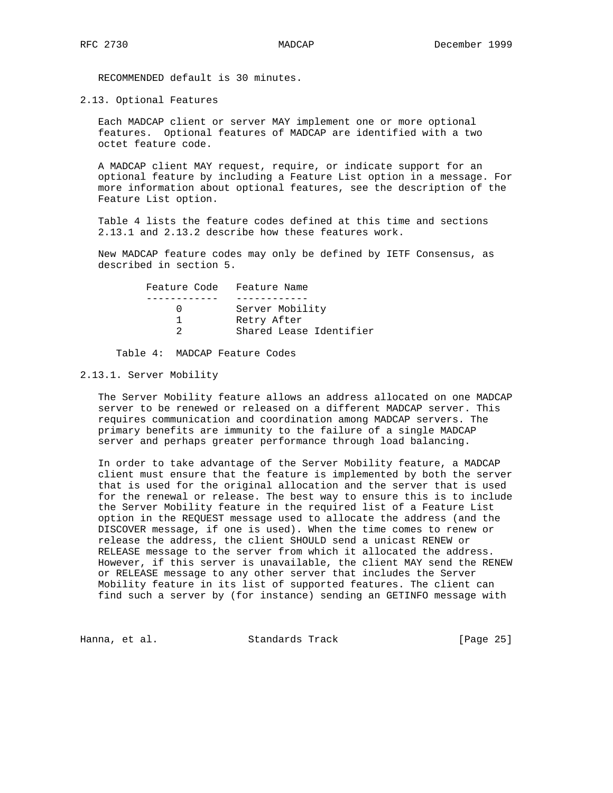RECOMMENDED default is 30 minutes.

2.13. Optional Features

 Each MADCAP client or server MAY implement one or more optional features. Optional features of MADCAP are identified with a two octet feature code.

 A MADCAP client MAY request, require, or indicate support for an optional feature by including a Feature List option in a message. For more information about optional features, see the description of the Feature List option.

 Table 4 lists the feature codes defined at this time and sections 2.13.1 and 2.13.2 describe how these features work.

 New MADCAP feature codes may only be defined by IETF Consensus, as described in section 5.

| Feature Code Feature Name |                         |
|---------------------------|-------------------------|
|                           |                         |
|                           | Server Mobility         |
|                           | Retry After             |
|                           | Shared Lease Identifier |
|                           |                         |

Table 4: MADCAP Feature Codes

## 2.13.1. Server Mobility

 The Server Mobility feature allows an address allocated on one MADCAP server to be renewed or released on a different MADCAP server. This requires communication and coordination among MADCAP servers. The primary benefits are immunity to the failure of a single MADCAP server and perhaps greater performance through load balancing.

 In order to take advantage of the Server Mobility feature, a MADCAP client must ensure that the feature is implemented by both the server that is used for the original allocation and the server that is used for the renewal or release. The best way to ensure this is to include the Server Mobility feature in the required list of a Feature List option in the REQUEST message used to allocate the address (and the DISCOVER message, if one is used). When the time comes to renew or release the address, the client SHOULD send a unicast RENEW or RELEASE message to the server from which it allocated the address. However, if this server is unavailable, the client MAY send the RENEW or RELEASE message to any other server that includes the Server Mobility feature in its list of supported features. The client can find such a server by (for instance) sending an GETINFO message with

Hanna, et al. Standards Track [Page 25]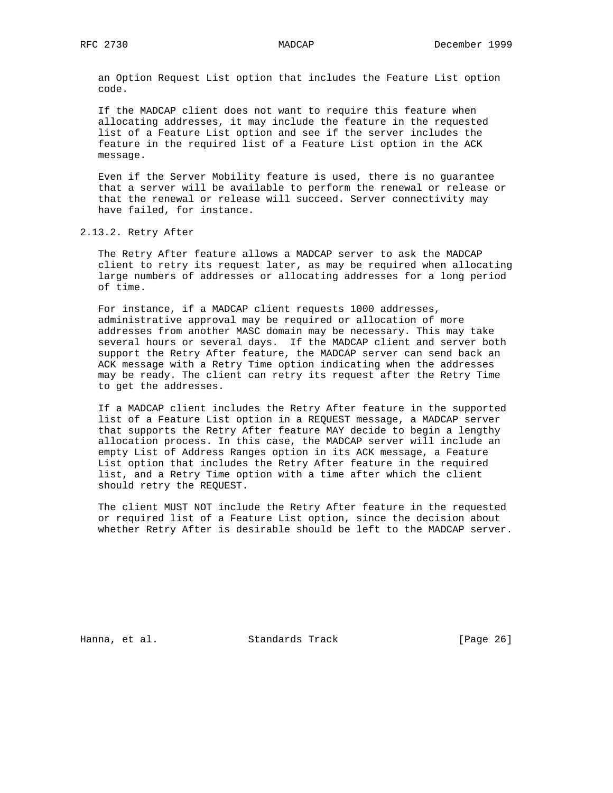an Option Request List option that includes the Feature List option code.

 If the MADCAP client does not want to require this feature when allocating addresses, it may include the feature in the requested list of a Feature List option and see if the server includes the feature in the required list of a Feature List option in the ACK message.

 Even if the Server Mobility feature is used, there is no guarantee that a server will be available to perform the renewal or release or that the renewal or release will succeed. Server connectivity may have failed, for instance.

2.13.2. Retry After

 The Retry After feature allows a MADCAP server to ask the MADCAP client to retry its request later, as may be required when allocating large numbers of addresses or allocating addresses for a long period of time.

 For instance, if a MADCAP client requests 1000 addresses, administrative approval may be required or allocation of more addresses from another MASC domain may be necessary. This may take several hours or several days. If the MADCAP client and server both support the Retry After feature, the MADCAP server can send back an ACK message with a Retry Time option indicating when the addresses may be ready. The client can retry its request after the Retry Time to get the addresses.

 If a MADCAP client includes the Retry After feature in the supported list of a Feature List option in a REQUEST message, a MADCAP server that supports the Retry After feature MAY decide to begin a lengthy allocation process. In this case, the MADCAP server will include an empty List of Address Ranges option in its ACK message, a Feature List option that includes the Retry After feature in the required list, and a Retry Time option with a time after which the client should retry the REQUEST.

 The client MUST NOT include the Retry After feature in the requested or required list of a Feature List option, since the decision about whether Retry After is desirable should be left to the MADCAP server.

Hanna, et al. Standards Track [Page 26]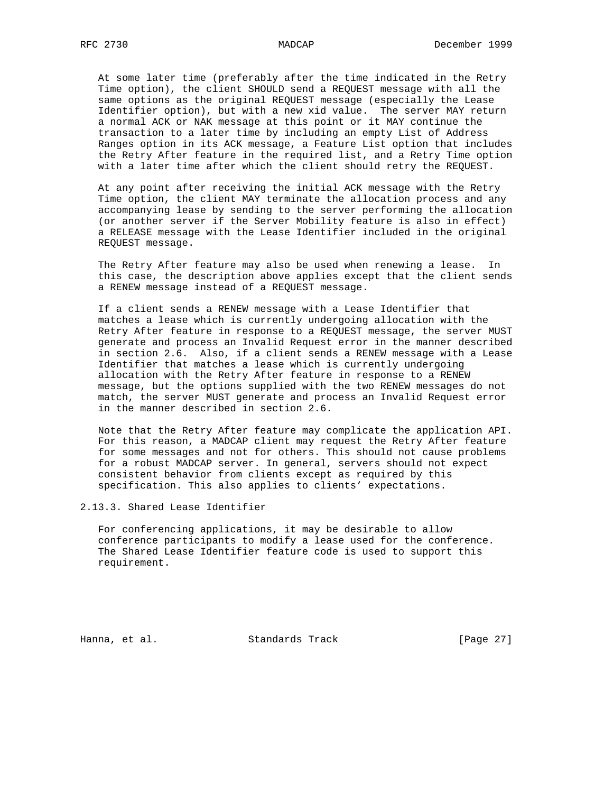At some later time (preferably after the time indicated in the Retry Time option), the client SHOULD send a REQUEST message with all the same options as the original REQUEST message (especially the Lease Identifier option), but with a new xid value. The server MAY return a normal ACK or NAK message at this point or it MAY continue the transaction to a later time by including an empty List of Address Ranges option in its ACK message, a Feature List option that includes the Retry After feature in the required list, and a Retry Time option with a later time after which the client should retry the REQUEST.

 At any point after receiving the initial ACK message with the Retry Time option, the client MAY terminate the allocation process and any accompanying lease by sending to the server performing the allocation (or another server if the Server Mobility feature is also in effect) a RELEASE message with the Lease Identifier included in the original REQUEST message.

 The Retry After feature may also be used when renewing a lease. In this case, the description above applies except that the client sends a RENEW message instead of a REQUEST message.

 If a client sends a RENEW message with a Lease Identifier that matches a lease which is currently undergoing allocation with the Retry After feature in response to a REQUEST message, the server MUST generate and process an Invalid Request error in the manner described in section 2.6. Also, if a client sends a RENEW message with a Lease Identifier that matches a lease which is currently undergoing allocation with the Retry After feature in response to a RENEW message, but the options supplied with the two RENEW messages do not match, the server MUST generate and process an Invalid Request error in the manner described in section 2.6.

 Note that the Retry After feature may complicate the application API. For this reason, a MADCAP client may request the Retry After feature for some messages and not for others. This should not cause problems for a robust MADCAP server. In general, servers should not expect consistent behavior from clients except as required by this specification. This also applies to clients' expectations.

2.13.3. Shared Lease Identifier

 For conferencing applications, it may be desirable to allow conference participants to modify a lease used for the conference. The Shared Lease Identifier feature code is used to support this requirement.

Hanna, et al. Standards Track [Page 27]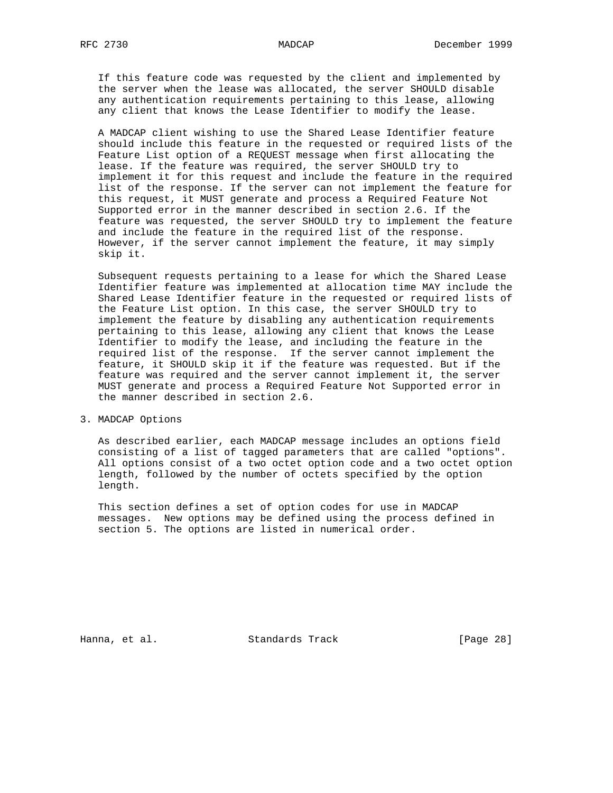If this feature code was requested by the client and implemented by the server when the lease was allocated, the server SHOULD disable any authentication requirements pertaining to this lease, allowing any client that knows the Lease Identifier to modify the lease.

 A MADCAP client wishing to use the Shared Lease Identifier feature should include this feature in the requested or required lists of the Feature List option of a REQUEST message when first allocating the lease. If the feature was required, the server SHOULD try to implement it for this request and include the feature in the required list of the response. If the server can not implement the feature for this request, it MUST generate and process a Required Feature Not Supported error in the manner described in section 2.6. If the feature was requested, the server SHOULD try to implement the feature and include the feature in the required list of the response. However, if the server cannot implement the feature, it may simply skip it.

 Subsequent requests pertaining to a lease for which the Shared Lease Identifier feature was implemented at allocation time MAY include the Shared Lease Identifier feature in the requested or required lists of the Feature List option. In this case, the server SHOULD try to implement the feature by disabling any authentication requirements pertaining to this lease, allowing any client that knows the Lease Identifier to modify the lease, and including the feature in the required list of the response. If the server cannot implement the feature, it SHOULD skip it if the feature was requested. But if the feature was required and the server cannot implement it, the server MUST generate and process a Required Feature Not Supported error in the manner described in section 2.6.

3. MADCAP Options

 As described earlier, each MADCAP message includes an options field consisting of a list of tagged parameters that are called "options". All options consist of a two octet option code and a two octet option length, followed by the number of octets specified by the option length.

 This section defines a set of option codes for use in MADCAP messages. New options may be defined using the process defined in section 5. The options are listed in numerical order.

Hanna, et al. Standards Track [Page 28]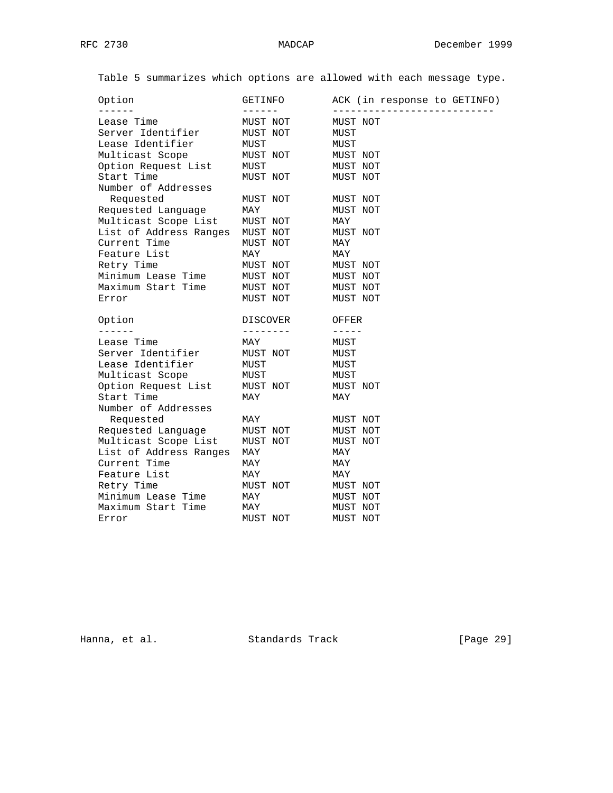Table 5 summarizes which options are allowed with each message type.

| Option                 | GETINFO  | ACK (in response to GETINFO) |
|------------------------|----------|------------------------------|
| Lease Time             | MUST NOT | MUST NOT                     |
| Server Identifier      | MUST NOT | MUST                         |
| Lease Identifier       | MUST     | MUST                         |
| Multicast Scope        | MUST NOT | MUST NOT                     |
| Option Request List    | MUST     | MUST NOT                     |
| Start Time             | MUST NOT | MUST NOT                     |
| Number of Addresses    |          |                              |
| Requested              | MUST NOT | MUST NOT                     |
| Requested Language     | MAY      | MUST NOT                     |
| Multicast Scope List   | MUST NOT | MAY                          |
| List of Address Ranges | MUST NOT | MUST NOT                     |
| Current Time           | MUST NOT | MAY                          |
| Feature List           | MAY      | MAY                          |
| Retry Time             | MUST NOT | MUST NOT                     |
| Minimum Lease Time     | MUST NOT | MUST NOT                     |
| Maximum Start Time     | MUST NOT | MUST NOT                     |
| Error                  | MUST NOT | MUST NOT                     |
| Option                 | DISCOVER | OFFER                        |
| $- - - - - -$          | -------- | $- - - - - -$                |
| Lease Time             | MAY      | MUST                         |
| Server Identifier      | MUST NOT | MUST                         |
| Lease Identifier       | MUST     | MUST                         |
| Multicast Scope        | MUST     | MUST                         |
| Option Request List    | MUST NOT | MUST NOT                     |
| Start Time             | MAY      | MAY                          |
| Number of Addresses    |          |                              |
| Requested              | MAY      | MUST NOT                     |
| Requested Language     | MUST NOT | MUST NOT                     |
| Multicast Scope List   | MUST NOT | MUST NOT                     |
| List of Address Ranges | MAY      | MAY                          |
| Current Time           | MAY      | MAY                          |
| Feature List           | MAY      | MAY                          |
| Retry Time             | MUST NOT | MUST NOT                     |
| Minimum Lease Time     | MAY      | MUST NOT                     |
| Maximum Start Time     | MAY      | MUST NOT                     |
| Error                  | MUST NOT | MUST NOT                     |

Hanna, et al. Standards Track [Page 29]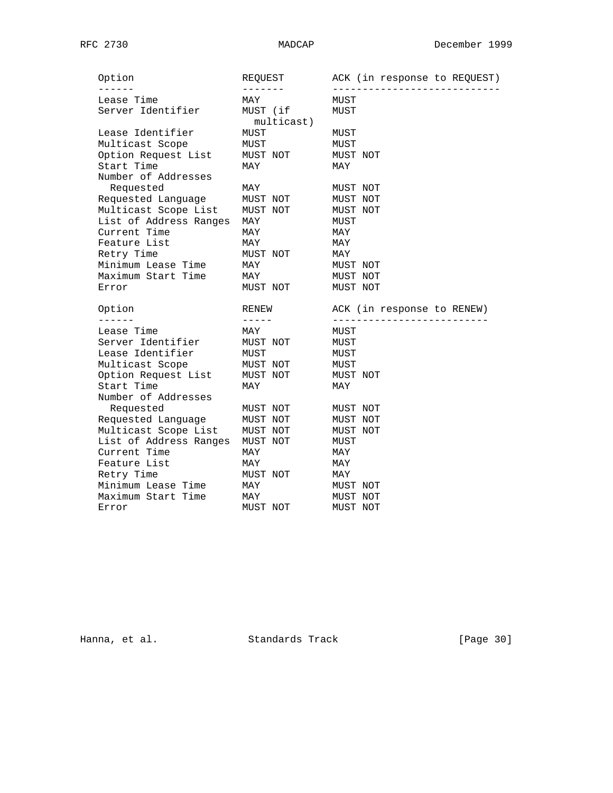| Option                 | REQUEST    | ACK (in response to REQUEST) |
|------------------------|------------|------------------------------|
| Lease Time             | MAY        | MUST                         |
| Server Identifier      | MUST (if   | MUST                         |
|                        | multicast) |                              |
| Lease Identifier       | MUST       | MUST                         |
| Multicast Scope        | MUST       | MUST                         |
| Option Request List    | MUST NOT   | MUST NOT                     |
| Start Time             | MAY        | MAY                          |
| Number of Addresses    |            |                              |
| Requested              | MAY        | MUST NOT                     |
| Requested Language     | MUST NOT   | MUST NOT                     |
| Multicast Scope List   | MUST NOT   | MUST NOT                     |
| List of Address Ranges | MAY        | MUST                         |
| Current Time           | MAY        | MAY                          |
| Feature List           | MAY        | MAY                          |
| Retry Time             | MUST NOT   | MAY                          |
| Minimum Lease Time     | MAY        | MUST NOT                     |
| Maximum Start Time     | MAY        | MUST NOT                     |
| Error                  | MUST NOT   | MUST NOT                     |
| Option                 | RENEW      | ACK (in response to RENEW)   |
| ------                 | -----      | --------------------------   |
| Lease Time             | MAY        | MUST                         |
| Server Identifier      | MUST NOT   | MUST                         |
| Lease Identifier       | MUST       | MUST                         |
| Multicast Scope        | MUST NOT   | MUST                         |
| Option Request List    | MUST NOT   | MUST NOT                     |
| Start Time             | MAY        | MAY                          |
| Number of Addresses    |            |                              |
| Requested              | MUST NOT   | MUST NOT                     |
| Requested Language     | MUST NOT   | MUST NOT                     |
| Multicast Scope List   | MUST NOT   | MUST NOT                     |
| List of Address Ranges | MUST NOT   | MUST                         |
| Current Time           | MAY        | MAY                          |
| Feature List           | MAY        | MAY                          |
| Retry Time             | MUST NOT   | MAY                          |
| Minimum Lease Time     | MAY        | MUST NOT                     |
| Maximum Start Time     | MAY        | MUST NOT                     |
| Error                  | MUST NOT   | MUST NOT                     |

Hanna, et al. Standards Track [Page 30]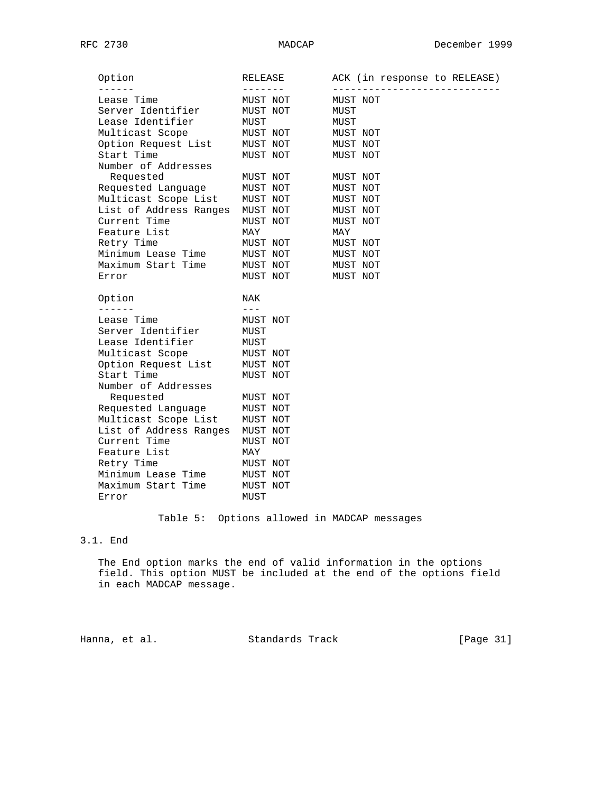| Option                 | RELEASE  | ACK (in response to RELEASE) |
|------------------------|----------|------------------------------|
| Lease Time             | MUST NOT | MUST NOT                     |
| Server Identifier      | MUST NOT | MUST                         |
| Lease Identifier       | MUST     | MUST                         |
| Multicast Scope        | MUST NOT | MUST NOT                     |
| Option Request List    | MUST NOT | MUST NOT                     |
| Start Time             | MUST NOT | MUST NOT                     |
| Number of Addresses    |          |                              |
| Requested              | MUST NOT | MUST NOT                     |
| Requested Language     | MUST NOT | MUST NOT                     |
| Multicast Scope List   | MUST NOT | MUST NOT                     |
| List of Address Ranges | MUST NOT | MUST NOT                     |
| Current Time           | MUST NOT | MUST NOT                     |
| Feature List           | MAY      | MAY                          |
| Retry Time             | MUST NOT | MUST NOT                     |
| Minimum Lease Time     | MUST NOT | MUST NOT                     |
| Maximum Start Time     | MUST NOT | MUST NOT                     |
| Error                  | MUST NOT | MUST NOT                     |
| Option                 | NAK      |                              |
| ------                 | $- - -$  |                              |
| Lease Time             | MUST NOT |                              |
| Server Identifier      | MUST     |                              |
| Lease Identifier       | MUST     |                              |
| Multicast Scope        | MUST NOT |                              |
| Option Request List    | MUST NOT |                              |
| Start Time             | MUST NOT |                              |
| Number of Addresses    |          |                              |
| Requested              | MUST NOT |                              |
| Requested Language     | MUST NOT |                              |
| Multicast Scope List   | MUST NOT |                              |
| List of Address Ranges | MUST NOT |                              |
| Current Time           | MUST NOT |                              |
| Feature List           | MAY      |                              |
| Retry Time             | MUST NOT |                              |
| Minimum Lease Time     | MUST NOT |                              |
| Maximum Start Time     | MUST NOT |                              |
| Error                  | MUST     |                              |

# Table 5: Options allowed in MADCAP messages

# 3.1. End

 The End option marks the end of valid information in the options field. This option MUST be included at the end of the options field in each MADCAP message.

Hanna, et al. Standards Track [Page 31]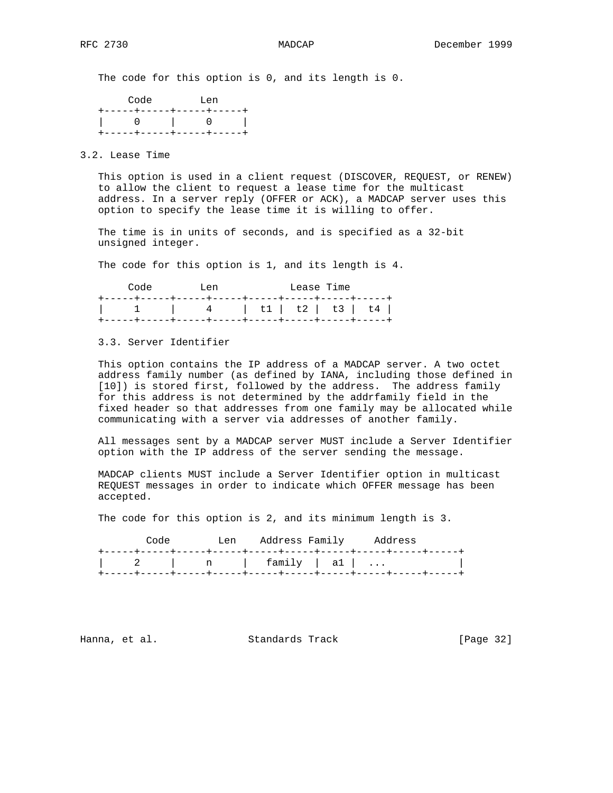The code for this option is 0, and its length is 0.

| Code                    | Tien                      |
|-------------------------|---------------------------|
|                         | +-----+-----+-----+-----+ |
|                         |                           |
| +-----+----++----+----- |                           |

3.2. Lease Time

 This option is used in a client request (DISCOVER, REQUEST, or RENEW) to allow the client to request a lease time for the multicast address. In a server reply (OFFER or ACK), a MADCAP server uses this option to specify the lease time it is willing to offer.

 The time is in units of seconds, and is specified as a 32-bit unsigned integer.

The code for this option is 1, and its length is 4.

| Code | T.en | Lease Time |  |
|------|------|------------|--|
|      |      |            |  |
|      |      |            |  |
|      |      |            |  |

3.3. Server Identifier

 This option contains the IP address of a MADCAP server. A two octet address family number (as defined by IANA, including those defined in [10]) is stored first, followed by the address. The address family for this address is not determined by the addrfamily field in the fixed header so that addresses from one family may be allocated while communicating with a server via addresses of another family.

 All messages sent by a MADCAP server MUST include a Server Identifier option with the IP address of the server sending the message.

 MADCAP clients MUST include a Server Identifier option in multicast REQUEST messages in order to indicate which OFFER message has been accepted.

The code for this option is 2, and its minimum length is 3.

| Code |  |                     | Len Address Family Address |  |
|------|--|---------------------|----------------------------|--|
|      |  |                     |                            |  |
|      |  | 2   n   family   al |                            |  |
|      |  |                     |                            |  |

Hanna, et al. Standards Track [Page 32]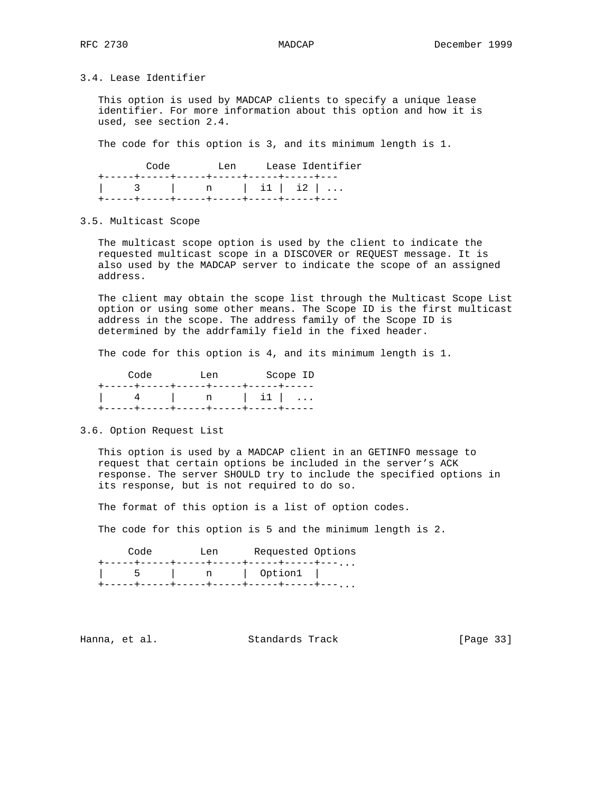3.4. Lease Identifier

 This option is used by MADCAP clients to specify a unique lease identifier. For more information about this option and how it is used, see section 2.4.

The code for this option is 3, and its minimum length is 1.

| Code |                                           | Len |  | Lease Identifier |  |
|------|-------------------------------------------|-----|--|------------------|--|
|      | +-----+-----+-----+------+-----+-----+--- |     |  |                  |  |
|      |                                           |     |  |                  |  |
|      |                                           |     |  |                  |  |

### 3.5. Multicast Scope

 The multicast scope option is used by the client to indicate the requested multicast scope in a DISCOVER or REQUEST message. It is also used by the MADCAP server to indicate the scope of an assigned address.

 The client may obtain the scope list through the Multicast Scope List option or using some other means. The Scope ID is the first multicast address in the scope. The address family of the Scope ID is determined by the addrfamily field in the fixed header.

The code for this option is 4, and its minimum length is 1.

| Code | Tien                                | Scope ID |
|------|-------------------------------------|----------|
|      | +------+----+-----+-----+-----+---- |          |
|      |                                     |          |
|      | -----+-----+-----+-----+-----+----+ |          |

3.6. Option Request List

 This option is used by a MADCAP client in an GETINFO message to request that certain options be included in the server's ACK response. The server SHOULD try to include the specified options in its response, but is not required to do so.

The format of this option is a list of option codes.

The code for this option is 5 and the minimum length is 2.

| Code | ⊺.en | Requested Options                      |  |
|------|------|----------------------------------------|--|
|      |      | ---+-----+-----+-----+----+----, , , , |  |
|      | n    | Option1                                |  |
|      |      | --+-----+---                           |  |

Hanna, et al. Standards Track [Page 33]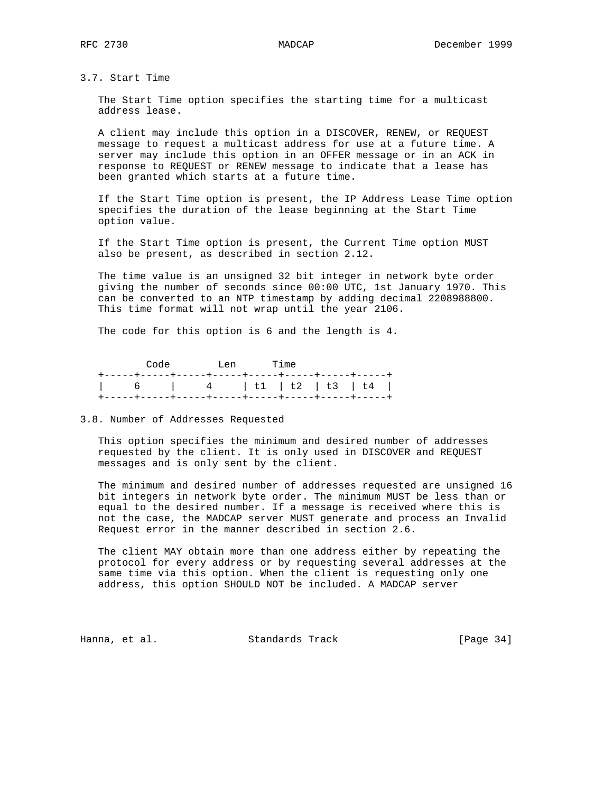3.7. Start Time

 The Start Time option specifies the starting time for a multicast address lease.

 A client may include this option in a DISCOVER, RENEW, or REQUEST message to request a multicast address for use at a future time. A server may include this option in an OFFER message or in an ACK in response to REQUEST or RENEW message to indicate that a lease has been granted which starts at a future time.

 If the Start Time option is present, the IP Address Lease Time option specifies the duration of the lease beginning at the Start Time option value.

 If the Start Time option is present, the Current Time option MUST also be present, as described in section 2.12.

 The time value is an unsigned 32 bit integer in network byte order giving the number of seconds since 00:00 UTC, 1st January 1970. This can be converted to an NTP timestamp by adding decimal 2208988800. This time format will not wrap until the year 2106.

The code for this option is 6 and the length is 4.

|  |  | Code Len Time |  |  |
|--|--|---------------|--|--|
|  |  |               |  |  |
|  |  |               |  |  |
|  |  |               |  |  |

## 3.8. Number of Addresses Requested

 This option specifies the minimum and desired number of addresses requested by the client. It is only used in DISCOVER and REQUEST messages and is only sent by the client.

 The minimum and desired number of addresses requested are unsigned 16 bit integers in network byte order. The minimum MUST be less than or equal to the desired number. If a message is received where this is not the case, the MADCAP server MUST generate and process an Invalid Request error in the manner described in section 2.6.

 The client MAY obtain more than one address either by repeating the protocol for every address or by requesting several addresses at the same time via this option. When the client is requesting only one address, this option SHOULD NOT be included. A MADCAP server

Hanna, et al. Standards Track [Page 34]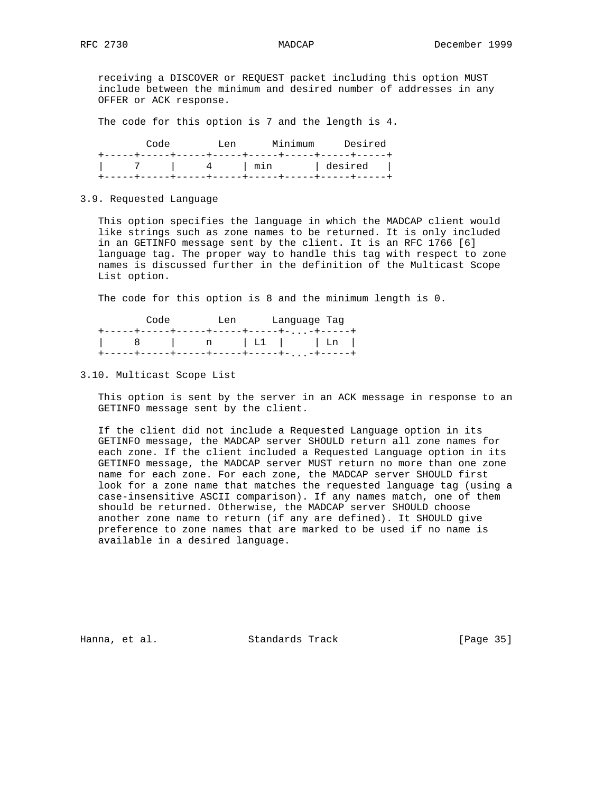receiving a DISCOVER or REQUEST packet including this option MUST include between the minimum and desired number of addresses in any OFFER or ACK response.

The code for this option is 7 and the length is 4.

| Code | ⊺.⊖n                                                                                                                                                                                                                                                                                                                                                                                                          | Minimum                                 | Desired |
|------|---------------------------------------------------------------------------------------------------------------------------------------------------------------------------------------------------------------------------------------------------------------------------------------------------------------------------------------------------------------------------------------------------------------|-----------------------------------------|---------|
|      |                                                                                                                                                                                                                                                                                                                                                                                                               | --+-----+-----+-----+-----+-----+----+- |         |
|      | l min                                                                                                                                                                                                                                                                                                                                                                                                         | desired                                 |         |
|      | ---+-----+---<br>$\frac{1}{2} \frac{1}{2} \frac{1}{2} \frac{1}{2} \frac{1}{2} \frac{1}{2} \frac{1}{2} \frac{1}{2} \frac{1}{2} \frac{1}{2} \frac{1}{2} \frac{1}{2} \frac{1}{2} \frac{1}{2} \frac{1}{2} \frac{1}{2} \frac{1}{2} \frac{1}{2} \frac{1}{2} \frac{1}{2} \frac{1}{2} \frac{1}{2} \frac{1}{2} \frac{1}{2} \frac{1}{2} \frac{1}{2} \frac{1}{2} \frac{1}{2} \frac{1}{2} \frac{1}{2} \frac{1}{2} \frac{$ |                                         |         |

# 3.9. Requested Language

 This option specifies the language in which the MADCAP client would like strings such as zone names to be returned. It is only included in an GETINFO message sent by the client. It is an RFC 1766 [6] language tag. The proper way to handle this tag with respect to zone names is discussed further in the definition of the Multicast Scope List option.

The code for this option is 8 and the minimum length is 0.

| Code |                                  | ⊺.⊖n | Language Tag |                |
|------|----------------------------------|------|--------------|----------------|
|      | ---+-----+-----+-----+- -+-----+ |      |              |                |
|      | n   L1   L1                      |      |              |                |
|      | ---+-----+-----+-----+-          |      |              | $-+ - - - - -$ |

3.10. Multicast Scope List

 This option is sent by the server in an ACK message in response to an GETINFO message sent by the client.

 If the client did not include a Requested Language option in its GETINFO message, the MADCAP server SHOULD return all zone names for each zone. If the client included a Requested Language option in its GETINFO message, the MADCAP server MUST return no more than one zone name for each zone. For each zone, the MADCAP server SHOULD first look for a zone name that matches the requested language tag (using a case-insensitive ASCII comparison). If any names match, one of them should be returned. Otherwise, the MADCAP server SHOULD choose another zone name to return (if any are defined). It SHOULD give preference to zone names that are marked to be used if no name is available in a desired language.

Hanna, et al. Standards Track [Page 35]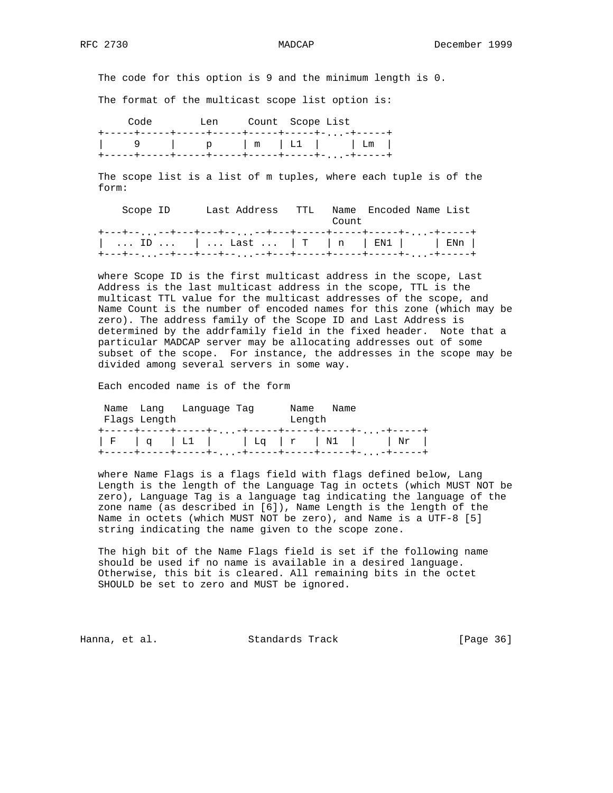The code for this option is 9 and the minimum length is 0.

The format of the multicast scope list option is:

Code Len Count Scope List +-----+-----+-----+-----+-----+-----+-...-+-----+ | 9 | p | m | L1 | | Lm | +-----+-----+-----+-----+-----+-----+-...-+-----+

 The scope list is a list of m tuples, where each tuple is of the form:

| Scope ID                                                                                                                                                                                  | Last Address – TTL |  | Count | Name Encoded Name List |  |
|-------------------------------------------------------------------------------------------------------------------------------------------------------------------------------------------|--------------------|--|-------|------------------------|--|
| $\vert$ ID $\vert$ Last $\vert$ T $\vert$ n $\vert$ EN1 $\vert$ $\vert$ ENn $\vert$<br>+---+-- <sub>--</sub> --+---+---+-- <sub>--</sub> --+---+----+-----+-----+- <sub>-</sub> --+-----+ |                    |  |       |                        |  |

 where Scope ID is the first multicast address in the scope, Last Address is the last multicast address in the scope, TTL is the multicast TTL value for the multicast addresses of the scope, and Name Count is the number of encoded names for this zone (which may be zero). The address family of the Scope ID and Last Address is determined by the addrfamily field in the fixed header. Note that a particular MADCAP server may be allocating addresses out of some subset of the scope. For instance, the addresses in the scope may be divided among several servers in some way.

Each encoded name is of the form

| Flags Length | Name Lang Language Tag | Name<br>Length | Name                                                                                             |  |
|--------------|------------------------|----------------|--------------------------------------------------------------------------------------------------|--|
|              |                        |                | +-----+-----+-----+--+-----+-----+-----+--+-----+<br>$  F   q   L1  $ $  Lq   r   N1  $ $  Nr  $ |  |

 where Name Flags is a flags field with flags defined below, Lang Length is the length of the Language Tag in octets (which MUST NOT be zero), Language Tag is a language tag indicating the language of the zone name (as described in [6]), Name Length is the length of the Name in octets (which MUST NOT be zero), and Name is a UTF-8 [5] string indicating the name given to the scope zone.

 The high bit of the Name Flags field is set if the following name should be used if no name is available in a desired language. Otherwise, this bit is cleared. All remaining bits in the octet SHOULD be set to zero and MUST be ignored.

Hanna, et al. Standards Track [Page 36]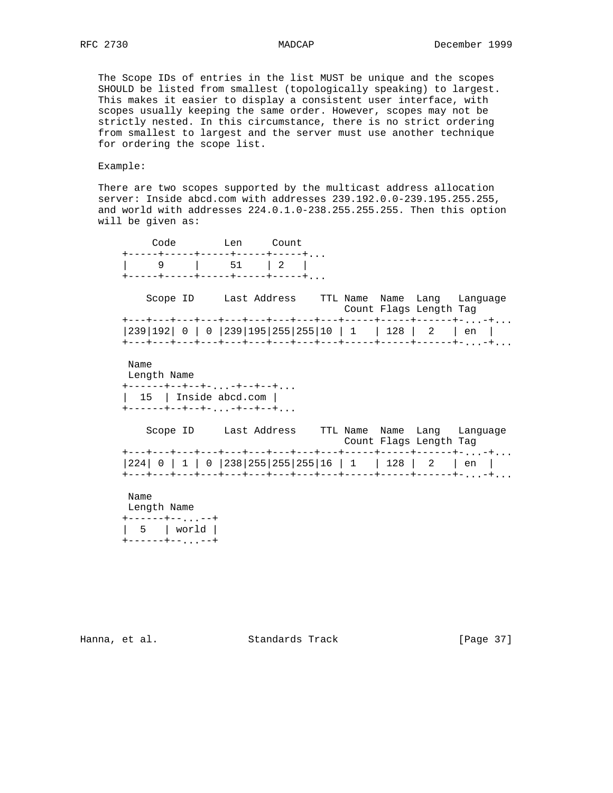The Scope IDs of entries in the list MUST be unique and the scopes SHOULD be listed from smallest (topologically speaking) to largest. This makes it easier to display a consistent user interface, with scopes usually keeping the same order. However, scopes may not be strictly nested. In this circumstance, there is no strict ordering from smallest to largest and the server must use another technique for ordering the scope list.

Example:

 There are two scopes supported by the multicast address allocation server: Inside abcd.com with addresses 239.192.0.0-239.195.255.255, and world with addresses 224.0.1.0-238.255.255.255. Then this option will be given as:

 Code Len Count +-----+-----+-----+-----+-----+... | 9 | 51 | 2 | +-----+-----+-----+-----+-----+... Scope ID Last Address TTL Name Name Lang Language Count Flags Length Tag +---+---+---+---+---+---+---+---+---+-----+-----+------+-...-+... |239|192| 0 | 0 |239|195|255|255|10 | 1 | 128 | 2 | en | +---+---+---+---+---+---+---+---+---+-----+-----+------+-...-+... Name Length Name +------+--+--+-...-+--+--+... | 15 | Inside abcd.com | +------+--+--+-...-+--+--+... Scope ID Last Address TTL Name Name Lang Language Count Flags Length Tag +---+---+---+---+---+---+---+---+---+-----+-----+------+-...-+... |224| 0 | 1 | 0 |238|255|255|255|16 | 1 | 128 | 2 | en | +---+---+---+---+---+---+---+---+---+-----+-----+------+-...-+... Name Length Name +------+--...--+

 | 5 | world | +------+--...--+

Hanna, et al. Standards Track [Page 37]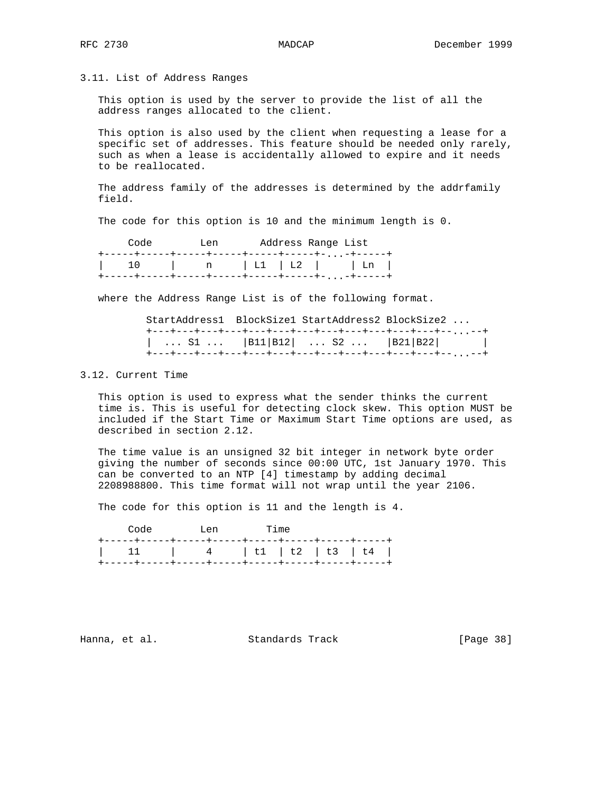### 3.11. List of Address Ranges

 This option is used by the server to provide the list of all the address ranges allocated to the client.

 This option is also used by the client when requesting a lease for a specific set of addresses. This feature should be needed only rarely, such as when a lease is accidentally allowed to expire and it needs to be reallocated.

 The address family of the addresses is determined by the addrfamily field.

The code for this option is 10 and the minimum length is 0.

| Code | ⊺.en | Address Range List |                                                               |
|------|------|--------------------|---------------------------------------------------------------|
|      |      |                    | +-----+-----+-----+-----+-----+-----+-,,,-+----+              |
|      |      |                    | $\vert$ 10 $\vert$ n $\vert$ L1 $\vert$ L2 $\vert$ Ln $\vert$ |
|      |      |                    | +-----+-----+-----+-----+-----+-----+-+-----+                 |

where the Address Range List is of the following format.

|  |  | StartAddress1 BlockSize1 StartAddress2 BlockSize2             |  |
|--|--|---------------------------------------------------------------|--|
|  |  | +---+---+---+---+---+---+---+---+---+---+---+---+---+--,,,--+ |  |
|  |  | S1    B11   B12    S2    B21   B22                            |  |
|  |  | +---+---+---+---+---+---+---+---+---+---+---+---+---+--,,,--+ |  |

### 3.12. Current Time

 This option is used to express what the sender thinks the current time is. This is useful for detecting clock skew. This option MUST be included if the Start Time or Maximum Start Time options are used, as described in section 2.12.

 The time value is an unsigned 32 bit integer in network byte order giving the number of seconds since 00:00 UTC, 1st January 1970. This can be converted to an NTP [4] timestamp by adding decimal 2208988800. This time format will not wrap until the year 2106.

The code for this option is 11 and the length is 4.

| Code | <b>Example 1.4</b> Tien | <b>Time</b> |  |  |
|------|-------------------------|-------------|--|--|
|      |                         |             |  |  |
|      |                         |             |  |  |
|      |                         |             |  |  |

Hanna, et al. Standards Track [Page 38]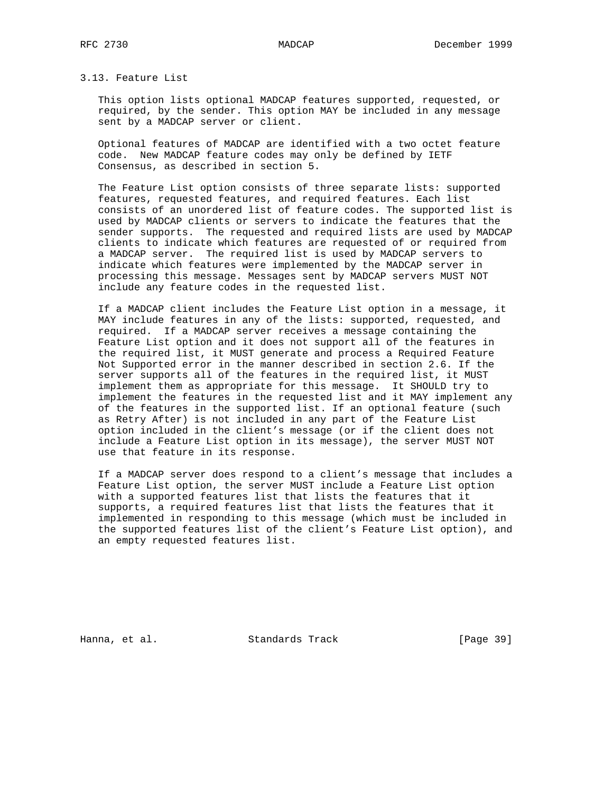## 3.13. Feature List

 This option lists optional MADCAP features supported, requested, or required, by the sender. This option MAY be included in any message sent by a MADCAP server or client.

 Optional features of MADCAP are identified with a two octet feature code. New MADCAP feature codes may only be defined by IETF Consensus, as described in section 5.

 The Feature List option consists of three separate lists: supported features, requested features, and required features. Each list consists of an unordered list of feature codes. The supported list is used by MADCAP clients or servers to indicate the features that the sender supports. The requested and required lists are used by MADCAP clients to indicate which features are requested of or required from a MADCAP server. The required list is used by MADCAP servers to indicate which features were implemented by the MADCAP server in processing this message. Messages sent by MADCAP servers MUST NOT include any feature codes in the requested list.

 If a MADCAP client includes the Feature List option in a message, it MAY include features in any of the lists: supported, requested, and required. If a MADCAP server receives a message containing the Feature List option and it does not support all of the features in the required list, it MUST generate and process a Required Feature Not Supported error in the manner described in section 2.6. If the server supports all of the features in the required list, it MUST implement them as appropriate for this message. It SHOULD try to implement the features in the requested list and it MAY implement any of the features in the supported list. If an optional feature (such as Retry After) is not included in any part of the Feature List option included in the client's message (or if the client does not include a Feature List option in its message), the server MUST NOT use that feature in its response.

 If a MADCAP server does respond to a client's message that includes a Feature List option, the server MUST include a Feature List option with a supported features list that lists the features that it supports, a required features list that lists the features that it implemented in responding to this message (which must be included in the supported features list of the client's Feature List option), and an empty requested features list.

Hanna, et al. Standards Track [Page 39]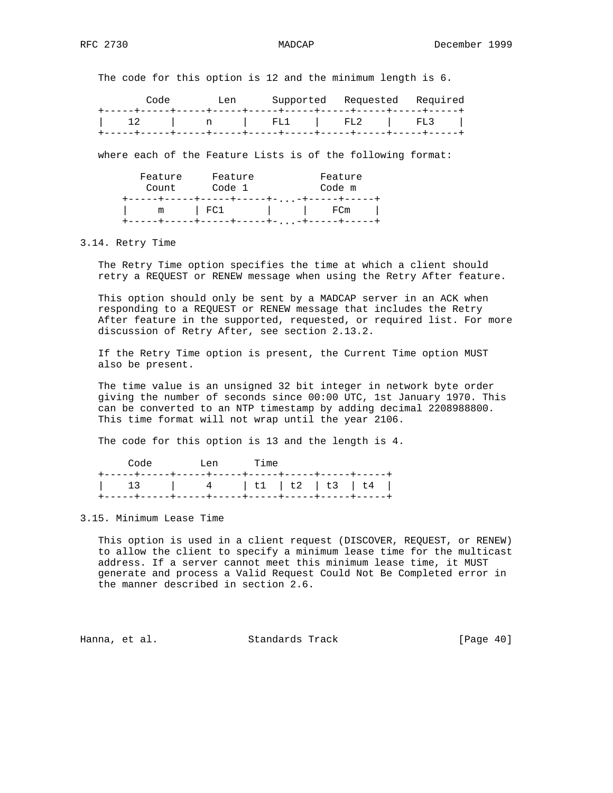The code for this option is 12 and the minimum length is 6.

| Code | T.en. | Supported Requested Required |  |
|------|-------|------------------------------|--|
|      |       |                              |  |
|      |       | 12   n   FL1   FL2   FL3     |  |
|      |       |                              |  |

where each of the Feature Lists is of the following format:

| Feature<br>Count | Feature<br>Code 1             | Feature<br>Code m          |
|------------------|-------------------------------|----------------------------|
| m                | ---+-----+-----+----+-<br>FC1 | <u>...-+-----+-</u><br>FCm |

### 3.14. Retry Time

 The Retry Time option specifies the time at which a client should retry a REQUEST or RENEW message when using the Retry After feature.

 This option should only be sent by a MADCAP server in an ACK when responding to a REQUEST or RENEW message that includes the Retry After feature in the supported, requested, or required list. For more discussion of Retry After, see section 2.13.2.

 If the Retry Time option is present, the Current Time option MUST also be present.

 The time value is an unsigned 32 bit integer in network byte order giving the number of seconds since 00:00 UTC, 1st January 1970. This can be converted to an NTP timestamp by adding decimal 2208988800. This time format will not wrap until the year 2106.

The code for this option is 13 and the length is 4.

|  | Code Len Time              |  |  |
|--|----------------------------|--|--|
|  |                            |  |  |
|  | 13   4   t1   t2   t3   t4 |  |  |
|  |                            |  |  |

### 3.15. Minimum Lease Time

 This option is used in a client request (DISCOVER, REQUEST, or RENEW) to allow the client to specify a minimum lease time for the multicast address. If a server cannot meet this minimum lease time, it MUST generate and process a Valid Request Could Not Be Completed error in the manner described in section 2.6.

Hanna, et al. Standards Track [Page 40]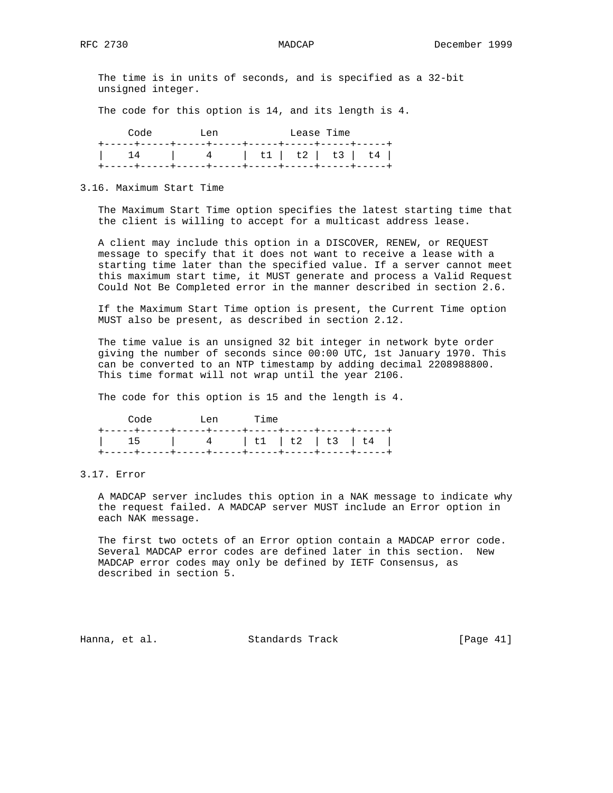The time is in units of seconds, and is specified as a 32-bit unsigned integer.

The code for this option is 14, and its length is 4.

| Code                       | T.en |  | Lease Time |  |
|----------------------------|------|--|------------|--|
|                            |      |  |            |  |
| 14   4   t1   t2   t3   t4 |      |  |            |  |
|                            |      |  |            |  |

3.16. Maximum Start Time

 The Maximum Start Time option specifies the latest starting time that the client is willing to accept for a multicast address lease.

 A client may include this option in a DISCOVER, RENEW, or REQUEST message to specify that it does not want to receive a lease with a starting time later than the specified value. If a server cannot meet this maximum start time, it MUST generate and process a Valid Request Could Not Be Completed error in the manner described in section 2.6.

 If the Maximum Start Time option is present, the Current Time option MUST also be present, as described in section 2.12.

 The time value is an unsigned 32 bit integer in network byte order giving the number of seconds since 00:00 UTC, 1st January 1970. This can be converted to an NTP timestamp by adding decimal 2208988800. This time format will not wrap until the year 2106.

The code for this option is 15 and the length is 4.

| Code                       | Ten Time |  |  |
|----------------------------|----------|--|--|
|                            |          |  |  |
| 15   4   t1   t2   t3   t4 |          |  |  |
|                            |          |  |  |

3.17. Error

 A MADCAP server includes this option in a NAK message to indicate why the request failed. A MADCAP server MUST include an Error option in each NAK message.

 The first two octets of an Error option contain a MADCAP error code. Several MADCAP error codes are defined later in this section. New MADCAP error codes may only be defined by IETF Consensus, as described in section 5.

Hanna, et al. Standards Track [Page 41]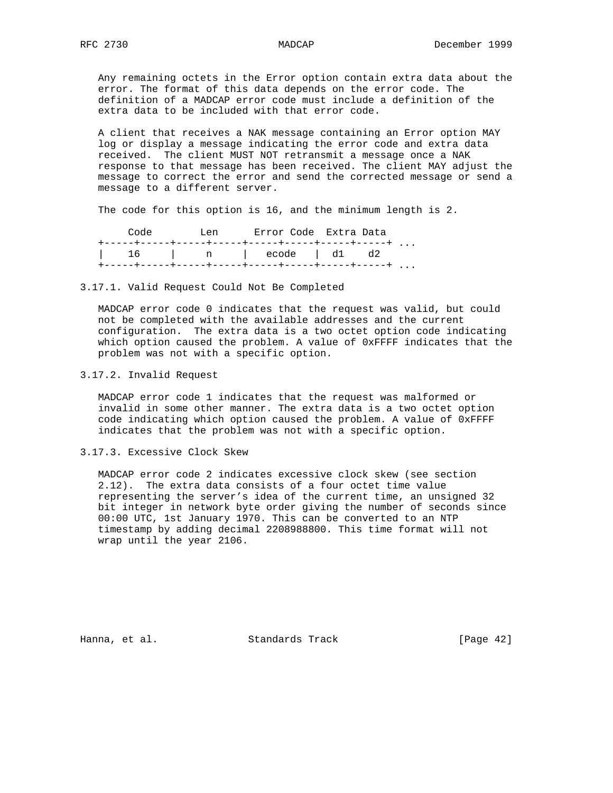Any remaining octets in the Error option contain extra data about the error. The format of this data depends on the error code. The definition of a MADCAP error code must include a definition of the extra data to be included with that error code.

 A client that receives a NAK message containing an Error option MAY log or display a message indicating the error code and extra data received. The client MUST NOT retransmit a message once a NAK response to that message has been received. The client MAY adjust the message to correct the error and send the corrected message or send a message to a different server.

The code for this option is 16, and the minimum length is 2.

| Code | T.en | Error Code Extra Data  |  |  |
|------|------|------------------------|--|--|
|      |      |                        |  |  |
|      |      | 16   n   ecode   d1 d2 |  |  |
|      |      |                        |  |  |

3.17.1. Valid Request Could Not Be Completed

 MADCAP error code 0 indicates that the request was valid, but could not be completed with the available addresses and the current configuration. The extra data is a two octet option code indicating which option caused the problem. A value of 0xFFFF indicates that the problem was not with a specific option.

3.17.2. Invalid Request

 MADCAP error code 1 indicates that the request was malformed or invalid in some other manner. The extra data is a two octet option code indicating which option caused the problem. A value of 0xFFFF indicates that the problem was not with a specific option.

3.17.3. Excessive Clock Skew

 MADCAP error code 2 indicates excessive clock skew (see section 2.12). The extra data consists of a four octet time value representing the server's idea of the current time, an unsigned 32 bit integer in network byte order giving the number of seconds since 00:00 UTC, 1st January 1970. This can be converted to an NTP timestamp by adding decimal 2208988800. This time format will not wrap until the year 2106.

Hanna, et al. Standards Track [Page 42]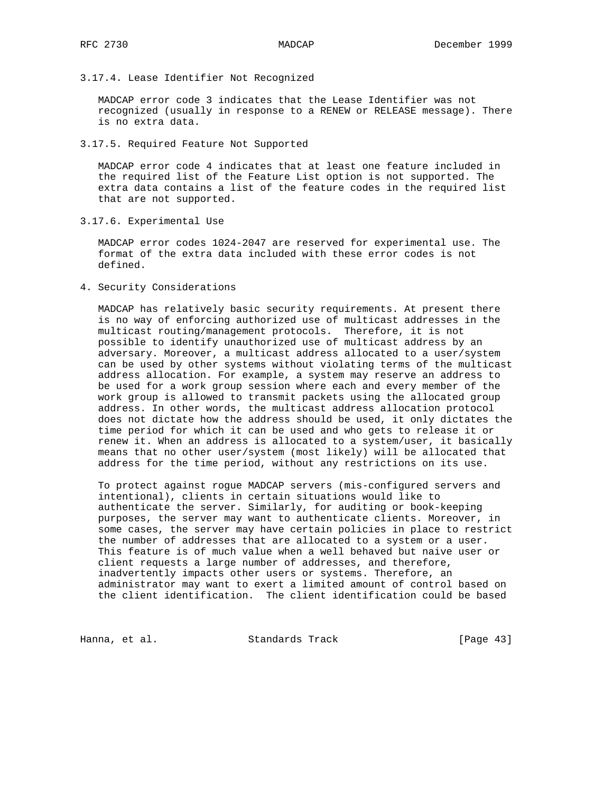3.17.4. Lease Identifier Not Recognized

 MADCAP error code 3 indicates that the Lease Identifier was not recognized (usually in response to a RENEW or RELEASE message). There is no extra data.

3.17.5. Required Feature Not Supported

 MADCAP error code 4 indicates that at least one feature included in the required list of the Feature List option is not supported. The extra data contains a list of the feature codes in the required list that are not supported.

3.17.6. Experimental Use

 MADCAP error codes 1024-2047 are reserved for experimental use. The format of the extra data included with these error codes is not defined.

4. Security Considerations

 MADCAP has relatively basic security requirements. At present there is no way of enforcing authorized use of multicast addresses in the multicast routing/management protocols. Therefore, it is not possible to identify unauthorized use of multicast address by an adversary. Moreover, a multicast address allocated to a user/system can be used by other systems without violating terms of the multicast address allocation. For example, a system may reserve an address to be used for a work group session where each and every member of the work group is allowed to transmit packets using the allocated group address. In other words, the multicast address allocation protocol does not dictate how the address should be used, it only dictates the time period for which it can be used and who gets to release it or renew it. When an address is allocated to a system/user, it basically means that no other user/system (most likely) will be allocated that address for the time period, without any restrictions on its use.

 To protect against rogue MADCAP servers (mis-configured servers and intentional), clients in certain situations would like to authenticate the server. Similarly, for auditing or book-keeping purposes, the server may want to authenticate clients. Moreover, in some cases, the server may have certain policies in place to restrict the number of addresses that are allocated to a system or a user. This feature is of much value when a well behaved but naive user or client requests a large number of addresses, and therefore, inadvertently impacts other users or systems. Therefore, an administrator may want to exert a limited amount of control based on the client identification. The client identification could be based

Hanna, et al. Standards Track [Page 43]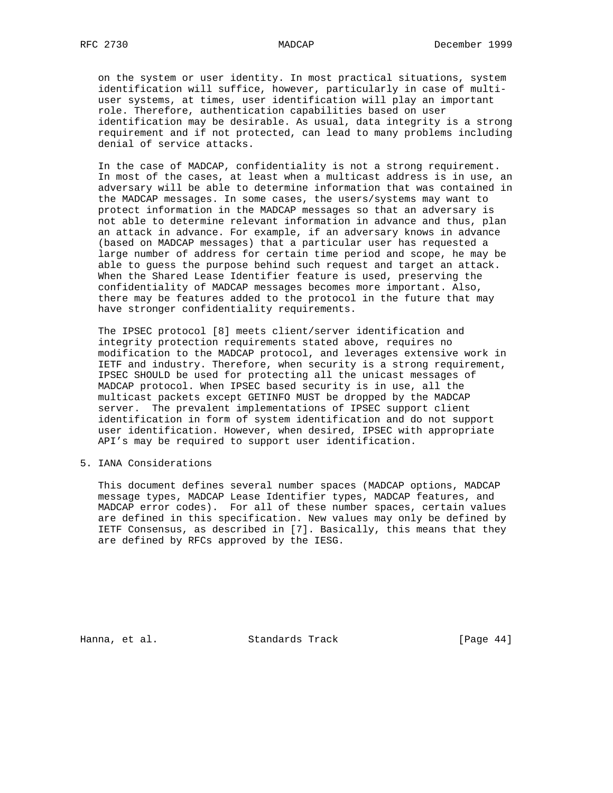on the system or user identity. In most practical situations, system identification will suffice, however, particularly in case of multi user systems, at times, user identification will play an important role. Therefore, authentication capabilities based on user identification may be desirable. As usual, data integrity is a strong requirement and if not protected, can lead to many problems including denial of service attacks.

 In the case of MADCAP, confidentiality is not a strong requirement. In most of the cases, at least when a multicast address is in use, an adversary will be able to determine information that was contained in the MADCAP messages. In some cases, the users/systems may want to protect information in the MADCAP messages so that an adversary is not able to determine relevant information in advance and thus, plan an attack in advance. For example, if an adversary knows in advance (based on MADCAP messages) that a particular user has requested a large number of address for certain time period and scope, he may be able to guess the purpose behind such request and target an attack. When the Shared Lease Identifier feature is used, preserving the confidentiality of MADCAP messages becomes more important. Also, there may be features added to the protocol in the future that may have stronger confidentiality requirements.

 The IPSEC protocol [8] meets client/server identification and integrity protection requirements stated above, requires no modification to the MADCAP protocol, and leverages extensive work in IETF and industry. Therefore, when security is a strong requirement, IPSEC SHOULD be used for protecting all the unicast messages of MADCAP protocol. When IPSEC based security is in use, all the multicast packets except GETINFO MUST be dropped by the MADCAP server. The prevalent implementations of IPSEC support client identification in form of system identification and do not support user identification. However, when desired, IPSEC with appropriate API's may be required to support user identification.

5. IANA Considerations

 This document defines several number spaces (MADCAP options, MADCAP message types, MADCAP Lease Identifier types, MADCAP features, and MADCAP error codes). For all of these number spaces, certain values are defined in this specification. New values may only be defined by IETF Consensus, as described in [7]. Basically, this means that they are defined by RFCs approved by the IESG.

Hanna, et al. Standards Track [Page 44]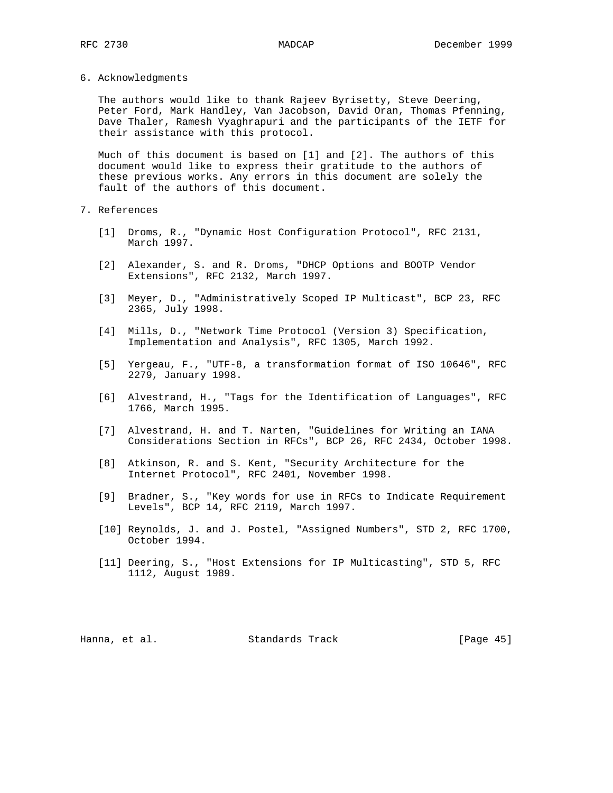6. Acknowledgments

 The authors would like to thank Rajeev Byrisetty, Steve Deering, Peter Ford, Mark Handley, Van Jacobson, David Oran, Thomas Pfenning, Dave Thaler, Ramesh Vyaghrapuri and the participants of the IETF for their assistance with this protocol.

 Much of this document is based on [1] and [2]. The authors of this document would like to express their gratitude to the authors of these previous works. Any errors in this document are solely the fault of the authors of this document.

- 7. References
	- [1] Droms, R., "Dynamic Host Configuration Protocol", RFC 2131, March 1997.
	- [2] Alexander, S. and R. Droms, "DHCP Options and BOOTP Vendor Extensions", RFC 2132, March 1997.
	- [3] Meyer, D., "Administratively Scoped IP Multicast", BCP 23, RFC 2365, July 1998.
	- [4] Mills, D., "Network Time Protocol (Version 3) Specification, Implementation and Analysis", RFC 1305, March 1992.
	- [5] Yergeau, F., "UTF-8, a transformation format of ISO 10646", RFC 2279, January 1998.
	- [6] Alvestrand, H., "Tags for the Identification of Languages", RFC 1766, March 1995.
	- [7] Alvestrand, H. and T. Narten, "Guidelines for Writing an IANA Considerations Section in RFCs", BCP 26, RFC 2434, October 1998.
	- [8] Atkinson, R. and S. Kent, "Security Architecture for the Internet Protocol", RFC 2401, November 1998.
	- [9] Bradner, S., "Key words for use in RFCs to Indicate Requirement Levels", BCP 14, RFC 2119, March 1997.
	- [10] Reynolds, J. and J. Postel, "Assigned Numbers", STD 2, RFC 1700, October 1994.
	- [11] Deering, S., "Host Extensions for IP Multicasting", STD 5, RFC 1112, August 1989.

Hanna, et al. Standards Track [Page 45]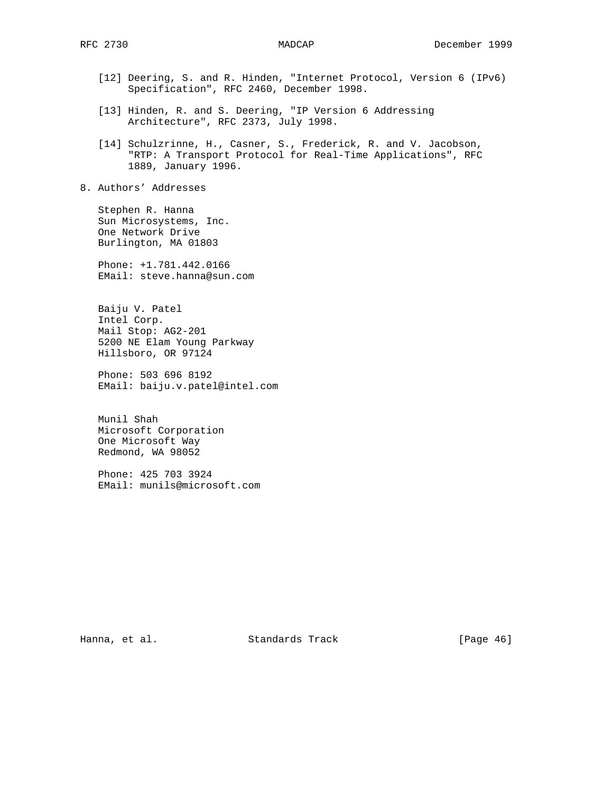- [12] Deering, S. and R. Hinden, "Internet Protocol, Version 6 (IPv6) Specification", RFC 2460, December 1998.
- [13] Hinden, R. and S. Deering, "IP Version 6 Addressing Architecture", RFC 2373, July 1998.
- [14] Schulzrinne, H., Casner, S., Frederick, R. and V. Jacobson, "RTP: A Transport Protocol for Real-Time Applications", RFC 1889, January 1996.
- 8. Authors' Addresses

 Stephen R. Hanna Sun Microsystems, Inc. One Network Drive Burlington, MA 01803

 Phone: +1.781.442.0166 EMail: steve.hanna@sun.com

 Baiju V. Patel Intel Corp. Mail Stop: AG2-201 5200 NE Elam Young Parkway Hillsboro, OR 97124

 Phone: 503 696 8192 EMail: baiju.v.patel@intel.com

 Munil Shah Microsoft Corporation One Microsoft Way Redmond, WA 98052

 Phone: 425 703 3924 EMail: munils@microsoft.com

Hanna, et al. Standards Track [Page 46]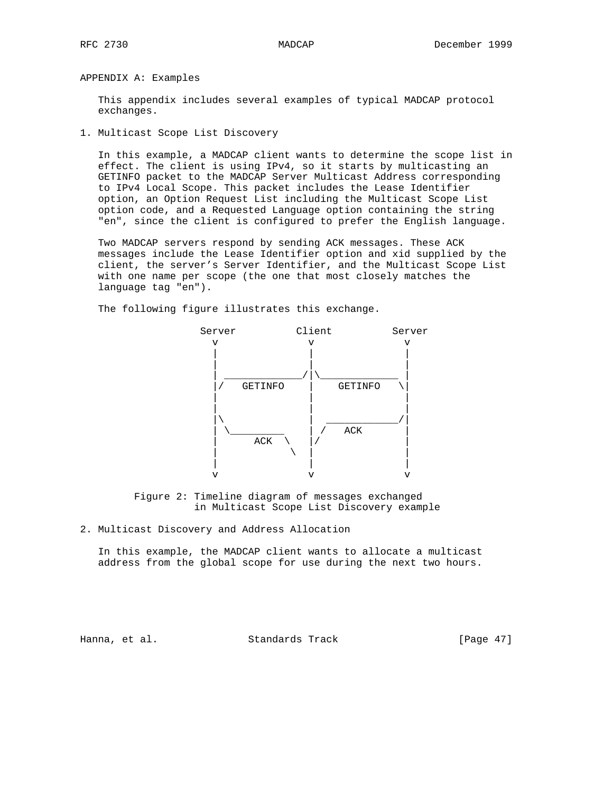APPENDIX A: Examples

 This appendix includes several examples of typical MADCAP protocol exchanges.

1. Multicast Scope List Discovery

 In this example, a MADCAP client wants to determine the scope list in effect. The client is using IPv4, so it starts by multicasting an GETINFO packet to the MADCAP Server Multicast Address corresponding to IPv4 Local Scope. This packet includes the Lease Identifier option, an Option Request List including the Multicast Scope List option code, and a Requested Language option containing the string "en", since the client is configured to prefer the English language.

 Two MADCAP servers respond by sending ACK messages. These ACK messages include the Lease Identifier option and xid supplied by the client, the server's Server Identifier, and the Multicast Scope List with one name per scope (the one that most closely matches the language tag "en").

The following figure illustrates this exchange.



 Figure 2: Timeline diagram of messages exchanged in Multicast Scope List Discovery example

2. Multicast Discovery and Address Allocation

 In this example, the MADCAP client wants to allocate a multicast address from the global scope for use during the next two hours.

Hanna, et al. Standards Track [Page 47]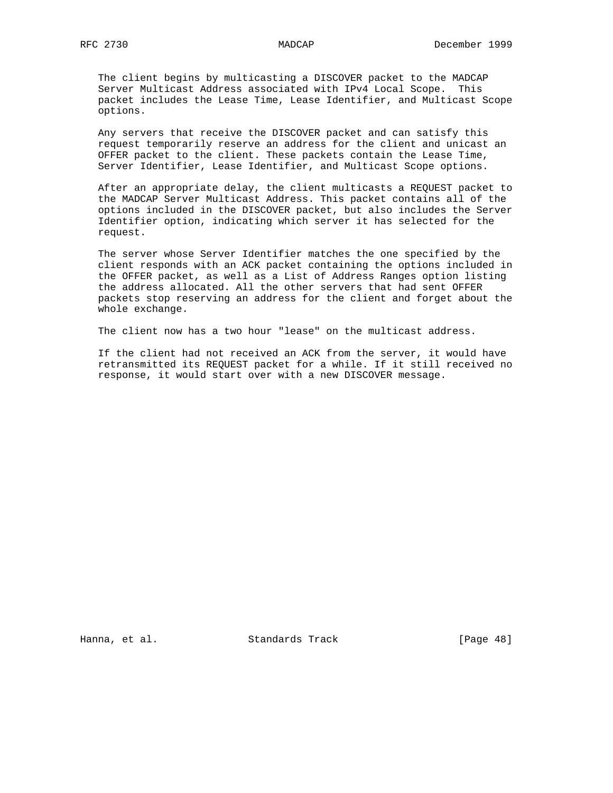The client begins by multicasting a DISCOVER packet to the MADCAP Server Multicast Address associated with IPv4 Local Scope. This packet includes the Lease Time, Lease Identifier, and Multicast Scope options.

 Any servers that receive the DISCOVER packet and can satisfy this request temporarily reserve an address for the client and unicast an OFFER packet to the client. These packets contain the Lease Time, Server Identifier, Lease Identifier, and Multicast Scope options.

 After an appropriate delay, the client multicasts a REQUEST packet to the MADCAP Server Multicast Address. This packet contains all of the options included in the DISCOVER packet, but also includes the Server Identifier option, indicating which server it has selected for the request.

 The server whose Server Identifier matches the one specified by the client responds with an ACK packet containing the options included in the OFFER packet, as well as a List of Address Ranges option listing the address allocated. All the other servers that had sent OFFER packets stop reserving an address for the client and forget about the whole exchange.

The client now has a two hour "lease" on the multicast address.

 If the client had not received an ACK from the server, it would have retransmitted its REQUEST packet for a while. If it still received no response, it would start over with a new DISCOVER message.

Hanna, et al. Standards Track [Page 48]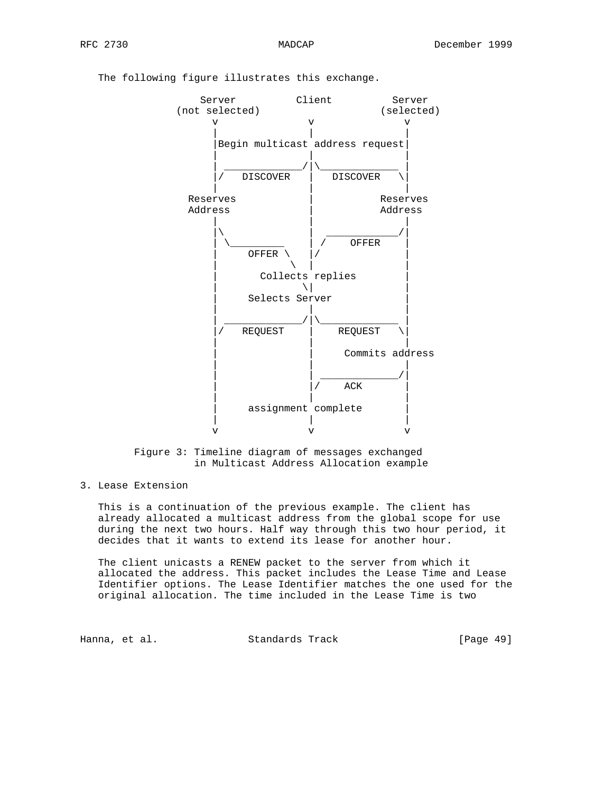# Server Client Server (not selected) (selected) v v v | | | Begin multicast address request | | | | \_\_\_\_\_\_\_\_\_\_\_\_\_/|\\_\_\_\_\_\_\_\_\_\_\_\_\_ | DISCOVER | DISCOVER | | | Reserves | Reserves Address | Address | | |  $|\!\!\!\downarrow\!\!\!\rangle$  and  $|\!\!\!\downarrow\!\!\!\rangle$  and  $|\!\!\!\downarrow\!\!\!\rangle$  and  $|\!\!\!\downarrow\!\!\!\rangle$  and  $|\!\!\!\downarrow\!\!\!\rangle$ | \\_\_\_\_\_\_\_\_\_\_ | / OFFER | | OFFER \ |/ | | \ | | Collects replies | \| | Selects Server | | |  $\frac{1}{2}$  , and the set of the set of the set of the set of the set of the set of the set of the set of the set of the set of the set of the set of the set of the set of the set of the set of the set of the set of the set REQUEST | REQUEST | | | Commits address | | | | | \_\_\_\_\_\_\_\_\_\_\_\_\_/| | |/ ACK | | | | assignment complete | | | v v v

The following figure illustrates this exchange.



## 3. Lease Extension

 This is a continuation of the previous example. The client has already allocated a multicast address from the global scope for use during the next two hours. Half way through this two hour period, it decides that it wants to extend its lease for another hour.

 The client unicasts a RENEW packet to the server from which it allocated the address. This packet includes the Lease Time and Lease Identifier options. The Lease Identifier matches the one used for the original allocation. The time included in the Lease Time is two

Hanna, et al. Standards Track [Page 49]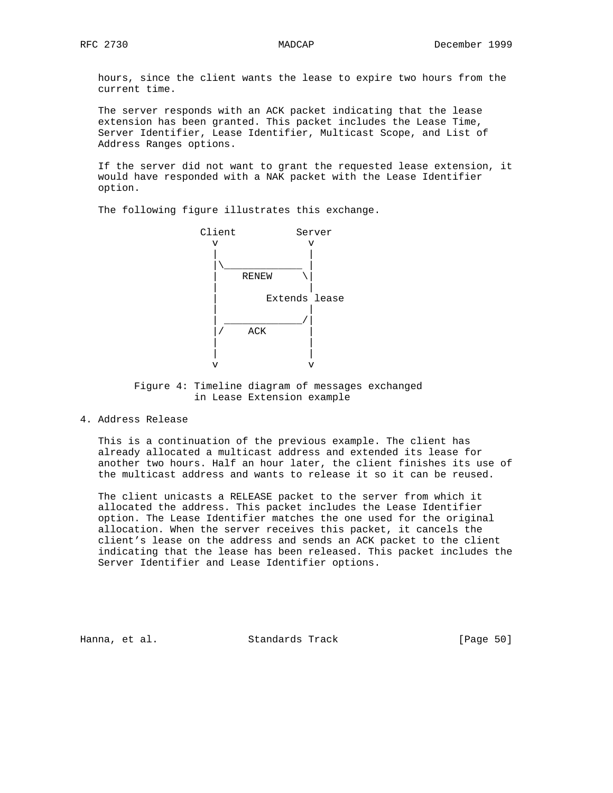hours, since the client wants the lease to expire two hours from the current time.

 The server responds with an ACK packet indicating that the lease extension has been granted. This packet includes the Lease Time, Server Identifier, Lease Identifier, Multicast Scope, and List of Address Ranges options.

 If the server did not want to grant the requested lease extension, it would have responded with a NAK packet with the Lease Identifier option.

The following figure illustrates this exchange.



 Figure 4: Timeline diagram of messages exchanged in Lease Extension example

4. Address Release

 This is a continuation of the previous example. The client has already allocated a multicast address and extended its lease for another two hours. Half an hour later, the client finishes its use of the multicast address and wants to release it so it can be reused.

 The client unicasts a RELEASE packet to the server from which it allocated the address. This packet includes the Lease Identifier option. The Lease Identifier matches the one used for the original allocation. When the server receives this packet, it cancels the client's lease on the address and sends an ACK packet to the client indicating that the lease has been released. This packet includes the Server Identifier and Lease Identifier options.

Hanna, et al. Standards Track [Page 50]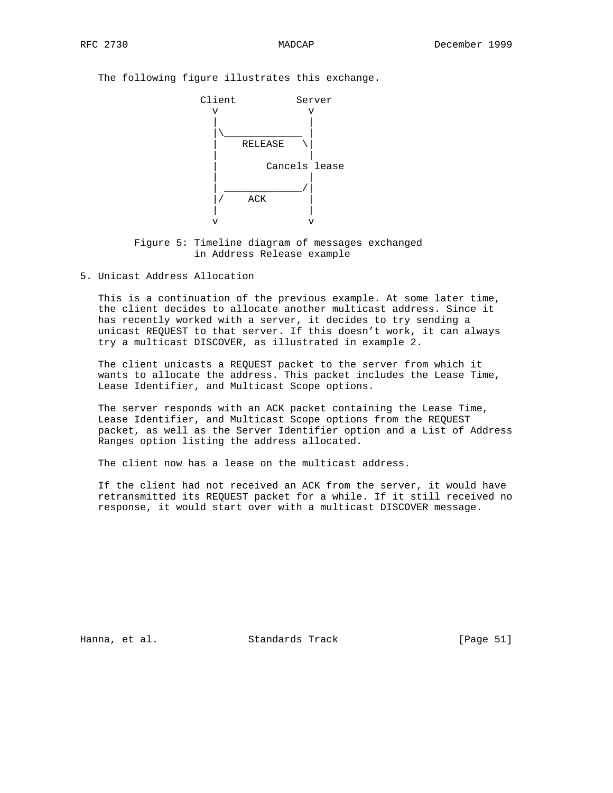The following figure illustrates this exchange.



 Figure 5: Timeline diagram of messages exchanged in Address Release example

5. Unicast Address Allocation

 This is a continuation of the previous example. At some later time, the client decides to allocate another multicast address. Since it has recently worked with a server, it decides to try sending a unicast REQUEST to that server. If this doesn't work, it can always try a multicast DISCOVER, as illustrated in example 2.

 The client unicasts a REQUEST packet to the server from which it wants to allocate the address. This packet includes the Lease Time, Lease Identifier, and Multicast Scope options.

 The server responds with an ACK packet containing the Lease Time, Lease Identifier, and Multicast Scope options from the REQUEST packet, as well as the Server Identifier option and a List of Address Ranges option listing the address allocated.

The client now has a lease on the multicast address.

 If the client had not received an ACK from the server, it would have retransmitted its REQUEST packet for a while. If it still received no response, it would start over with a multicast DISCOVER message.

Hanna, et al. Standards Track [Page 51]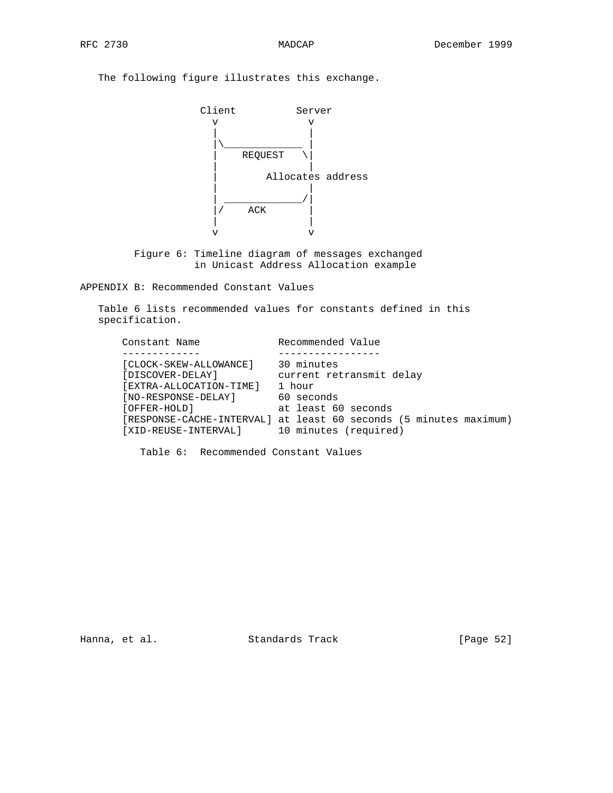The following figure illustrates this exchange.



 Figure 6: Timeline diagram of messages exchanged in Unicast Address Allocation example

APPENDIX B: Recommended Constant Values

 Table 6 lists recommended values for constants defined in this specification.

| Constant Name                                                                                                                        | Recommended Value                                                                                                                                                                   |
|--------------------------------------------------------------------------------------------------------------------------------------|-------------------------------------------------------------------------------------------------------------------------------------------------------------------------------------|
|                                                                                                                                      |                                                                                                                                                                                     |
| [CLOCK-SKEW-ALLOWANCE]<br>[DISCOVER-DELAY]<br>[EXTRA-ALLOCATION-TIME]<br>[NO-RESPONSE-DELAY]<br>[OFFER-HOLD]<br>[XID-REUSE-INTERVAL] | 30 minutes<br>current retransmit delay<br>1 hour<br>60 seconds<br>at least 60 seconds<br>[RESPONSE-CACHE-INTERVAL] at least 60 seconds (5 minutes maximum)<br>10 minutes (required) |
|                                                                                                                                      |                                                                                                                                                                                     |

Table 6: Recommended Constant Values

Hanna, et al. Standards Track [Page 52]